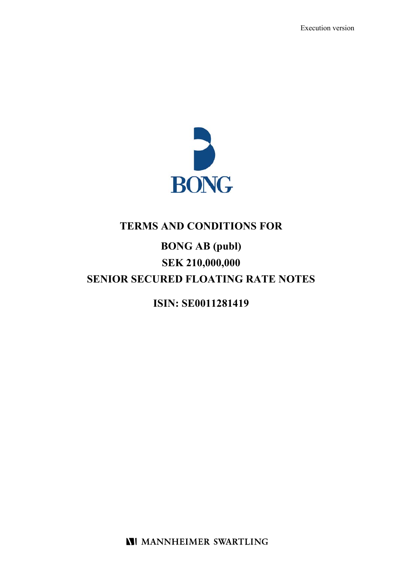

# **TERMS AND CONDITIONS FOR**

# **BONG AB (publ) SEK 210,000,000 SENIOR SECURED FLOATING RATE NOTES**

**ISIN: SE0011281419** 

**NI MANNHEIMER SWARTLING**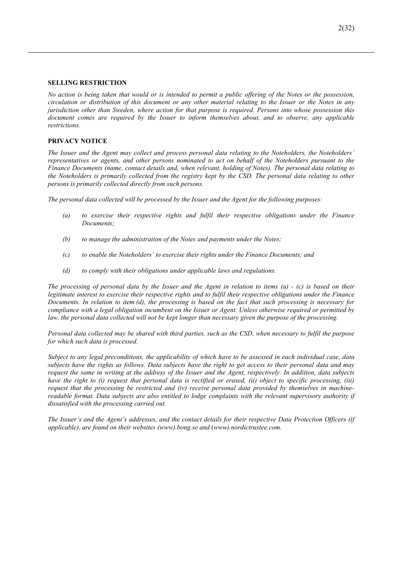### **SELLING RESTRICTION**

*No action is being taken that would or is intended to permit a public offering of the Notes or the possession, circulation or distribution of this document or any other material relating to the Issuer or the Notes in any jurisdiction other than Sweden, where action for that purpose is required. Persons into whose possession this document comes are required by the Issuer to inform themselves about, and to observe, any applicable restrictions.* 

### **PRIVACY NOTICE**

*The Issuer and the Agent may collect and process personal data relating to the Noteholders, the Noteholders' representatives or agents, and other persons nominated to act on behalf of the Noteholders pursuant to the Finance Documents (name, contact details and, when relevant, holding of Notes). The personal data relating to the Noteholders is primarily collected from the registry kept by the CSD. The personal data relating to other persons is primarily collected directly from such persons.* 

*The personal data collected will be processed by the Issuer and the Agent for the following purposes:* 

- *(a) to exercise their respective rights and fulfil their respective obligations under the Finance Documents;*
- *(b) to manage the administration of the Notes and payments under the Notes;*
- *(c) to enable the Noteholders' to exercise their rights under the Finance Documents; and*
- *(d) to comply with their obligations under applicable laws and regulations.*

*The processing of personal data by the Issuer and the Agent in relation to items (a) - (c) is based on their legitimate interest to exercise their respective rights and to fulfil their respective obligations under the Finance Documents. In relation to item (d), the processing is based on the fact that such processing is necessary for compliance with a legal obligation incumbent on the Issuer or Agent. Unless otherwise required or permitted by law, the personal data collected will not be kept longer than necessary given the purpose of the processing.* 

*Personal data collected may be shared with third parties, such as the CSD, when necessary to fulfil the purpose for which such data is processed.* 

*Subject to any legal preconditions, the applicability of which have to be assessed in each individual case, data subjects have the rights as follows. Data subjects have the right to get access to their personal data and may request the same in writing at the address of the Issuer and the Agent, respectively. In addition, data subjects have the right to (i) request that personal data is rectified or erased, (ii) object to specific processing, (iii) request that the processing be restricted and (iv) receive personal data provided by themselves in machinereadable format. Data subjects are also entitled to lodge complaints with the relevant supervisory authority if dissatisfied with the processing carried out.* 

*The Issuer's and the Agent's addresses, and the contact details for their respective Data Protection Officers (if applicable), are found on their websites (www).bong.se and* (*www).nordictrustee.com.*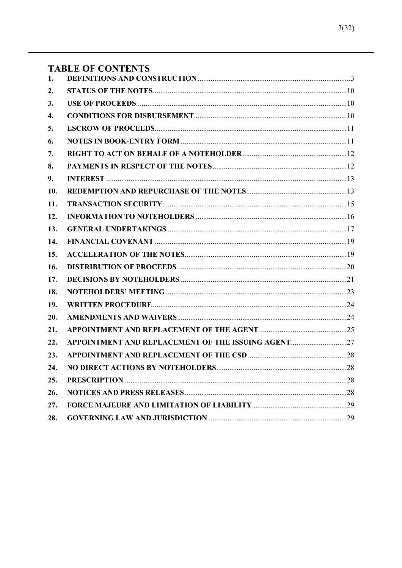## **TABLE OF CONTENTS**

| 1.  |                                                    |  |
|-----|----------------------------------------------------|--|
| 2.  |                                                    |  |
| 3.  |                                                    |  |
| 4.  |                                                    |  |
| 5.  |                                                    |  |
| 6.  |                                                    |  |
| 7.  |                                                    |  |
| 8.  |                                                    |  |
| 9.  |                                                    |  |
| 10. |                                                    |  |
| 11. |                                                    |  |
| 12. |                                                    |  |
| 13. |                                                    |  |
| 14. |                                                    |  |
| 15. |                                                    |  |
| 16. |                                                    |  |
| 17. |                                                    |  |
| 18. |                                                    |  |
| 19. |                                                    |  |
| 20. |                                                    |  |
| 21. |                                                    |  |
| 22. | APPOINTMENT AND REPLACEMENT OF THE ISSUING AGENT27 |  |
| 23. |                                                    |  |
| 24. |                                                    |  |
| 25. |                                                    |  |
| 26. |                                                    |  |
| 27. |                                                    |  |
| 28. |                                                    |  |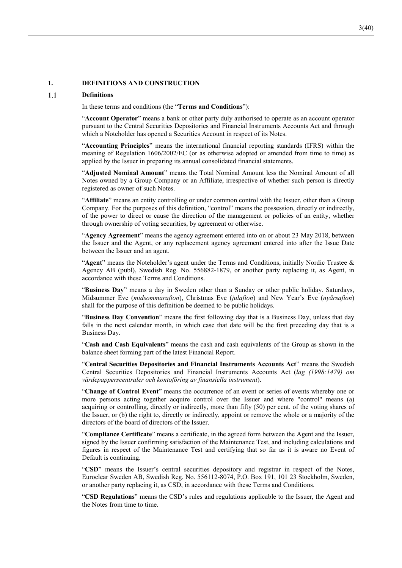### **1. DEFINITIONS AND CONSTRUCTION**

#### $1.1$ **Definitions**

In these terms and conditions (the "**Terms and Conditions**"):

"**Account Operator**" means a bank or other party duly authorised to operate as an account operator pursuant to the Central Securities Depositories and Financial Instruments Accounts Act and through which a Noteholder has opened a Securities Account in respect of its Notes.

"**Accounting Principles**" means the international financial reporting standards (IFRS) within the meaning of Regulation 1606/2002/EC (or as otherwise adopted or amended from time to time) as applied by the Issuer in preparing its annual consolidated financial statements.

"**Adjusted Nominal Amount**" means the Total Nominal Amount less the Nominal Amount of all Notes owned by a Group Company or an Affiliate, irrespective of whether such person is directly registered as owner of such Notes.

"**Affiliate**" means an entity controlling or under common control with the Issuer, other than a Group Company. For the purposes of this definition, "control" means the possession, directly or indirectly, of the power to direct or cause the direction of the management or policies of an entity, whether through ownership of voting securities, by agreement or otherwise.

"**Agency Agreement**" means the agency agreement entered into on or about 23 May 2018, between the Issuer and the Agent, or any replacement agency agreement entered into after the Issue Date between the Issuer and an agent.

"**Agent**" means the Noteholder's agent under the Terms and Conditions, initially Nordic Trustee & Agency AB (publ), Swedish Reg. No. 556882-1879, or another party replacing it, as Agent, in accordance with these Terms and Conditions.

"**Business Day**" means a day in Sweden other than a Sunday or other public holiday. Saturdays, Midsummer Eve (*midsommarafton*), Christmas Eve (*julafton*) and New Year's Eve (*nyårsafton*) shall for the purpose of this definition be deemed to be public holidays.

"**Business Day Convention**" means the first following day that is a Business Day, unless that day falls in the next calendar month, in which case that date will be the first preceding day that is a Business Day.

"**Cash and Cash Equivalents**" means the cash and cash equivalents of the Group as shown in the balance sheet forming part of the latest Financial Report.

"**Central Securities Depositories and Financial Instruments Accounts Act**" means the Swedish Central Securities Depositories and Financial Instruments Accounts Act (*lag (1998:1479) om värdepapperscentraler och kontoföring av finansiella instrument*).

"**Change of Control Event**" means the occurrence of an event or series of events whereby one or more persons acting together acquire control over the Issuer and where "control" means (a) acquiring or controlling, directly or indirectly, more than fifty (50) per cent. of the voting shares of the Issuer, or (b) the right to, directly or indirectly, appoint or remove the whole or a majority of the directors of the board of directors of the Issuer.

"**Compliance Certificate**" means a certificate, in the agreed form between the Agent and the Issuer, signed by the Issuer confirming satisfaction of the Maintenance Test, and including calculations and figures in respect of the Maintenance Test and certifying that so far as it is aware no Event of Default is continuing.

"**CSD**" means the Issuer's central securities depository and registrar in respect of the Notes, Euroclear Sweden AB, Swedish Reg. No. 556112-8074, P.O. Box 191, 101 23 Stockholm, Sweden, or another party replacing it, as CSD, in accordance with these Terms and Conditions.

"**CSD Regulations**" means the CSD's rules and regulations applicable to the Issuer, the Agent and the Notes from time to time.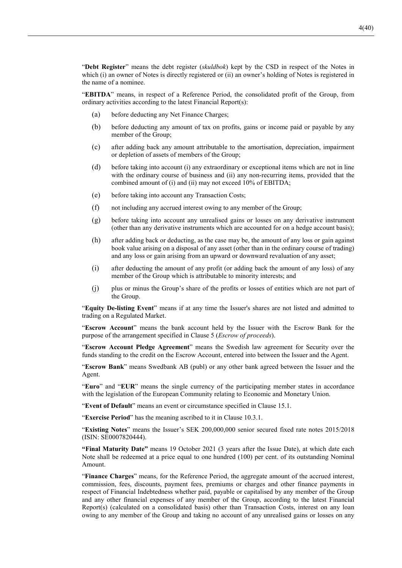"**Debt Register**" means the debt register (*skuldbok*) kept by the CSD in respect of the Notes in which (i) an owner of Notes is directly registered or (ii) an owner's holding of Notes is registered in the name of a nominee.

"**EBITDA**" means, in respect of a Reference Period, the consolidated profit of the Group, from ordinary activities according to the latest Financial Report(s):

- (a) before deducting any Net Finance Charges;
- (b) before deducting any amount of tax on profits, gains or income paid or payable by any member of the Group;
- (c) after adding back any amount attributable to the amortisation, depreciation, impairment or depletion of assets of members of the Group;
- (d) before taking into account (i) any extraordinary or exceptional items which are not in line with the ordinary course of business and (ii) any non-recurring items, provided that the combined amount of (i) and (ii) may not exceed 10% of EBITDA;
- (e) before taking into account any Transaction Costs;
- (f) not including any accrued interest owing to any member of the Group;
- (g) before taking into account any unrealised gains or losses on any derivative instrument (other than any derivative instruments which are accounted for on a hedge account basis);
- (h) after adding back or deducting, as the case may be, the amount of any loss or gain against book value arising on a disposal of any asset (other than in the ordinary course of trading) and any loss or gain arising from an upward or downward revaluation of any asset;
- (i) after deducting the amount of any profit (or adding back the amount of any loss) of any member of the Group which is attributable to minority interests; and
- (j) plus or minus the Group's share of the profits or losses of entities which are not part of the Group.

"**Equity De-listing Event**" means if at any time the Issuer's shares are not listed and admitted to trading on a Regulated Market.

"**Escrow Account**" means the bank account held by the Issuer with the Escrow Bank for the purpose of the arrangement specified in Clause 5 (*Escrow of proceeds*).

"**Escrow Account Pledge Agreement**" means the Swedish law agreement for Security over the funds standing to the credit on the Escrow Account, entered into between the Issuer and the Agent.

"**Escrow Bank**" means Swedbank AB (publ) or any other bank agreed between the Issuer and the Agent.

"**Euro**" and "**EUR**" means the single currency of the participating member states in accordance with the legislation of the European Community relating to Economic and Monetary Union.

"**Event of Default**" means an event or circumstance specified in Clause 15.1.

"**Exercise Period**" has the meaning ascribed to it in Clause 10.3.1.

"**Existing Notes**" means the Issuer's SEK 200,000,000 senior secured fixed rate notes 2015/2018 (ISIN: SE0007820444).

**"Final Maturity Date"** means 19 October 2021 (3 years after the Issue Date), at which date each Note shall be redeemed at a price equal to one hundred (100) per cent. of its outstanding Nominal Amount.

"**Finance Charges**" means, for the Reference Period, the aggregate amount of the accrued interest, commission, fees, discounts, payment fees, premiums or charges and other finance payments in respect of Financial Indebtedness whether paid, payable or capitalised by any member of the Group and any other financial expenses of any member of the Group, according to the latest Financial Report(s) (calculated on a consolidated basis) other than Transaction Costs, interest on any loan owing to any member of the Group and taking no account of any unrealised gains or losses on any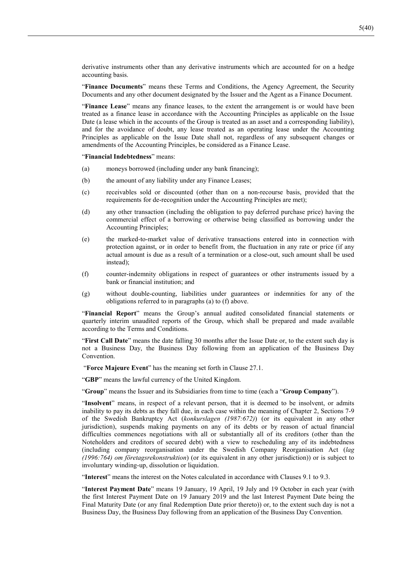derivative instruments other than any derivative instruments which are accounted for on a hedge accounting basis.

"**Finance Documents**" means these Terms and Conditions, the Agency Agreement, the Security Documents and any other document designated by the Issuer and the Agent as a Finance Document.

"**Finance Lease**" means any finance leases, to the extent the arrangement is or would have been treated as a finance lease in accordance with the Accounting Principles as applicable on the Issue Date (a lease which in the accounts of the Group is treated as an asset and a corresponding liability), and for the avoidance of doubt, any lease treated as an operating lease under the Accounting Principles as applicable on the Issue Date shall not, regardless of any subsequent changes or amendments of the Accounting Principles, be considered as a Finance Lease.

"**Financial Indebtedness**" means:

- (a) moneys borrowed (including under any bank financing);
- (b) the amount of any liability under any Finance Leases;
- (c) receivables sold or discounted (other than on a non-recourse basis, provided that the requirements for de-recognition under the Accounting Principles are met);
- (d) any other transaction (including the obligation to pay deferred purchase price) having the commercial effect of a borrowing or otherwise being classified as borrowing under the Accounting Principles;
- (e) the marked-to-market value of derivative transactions entered into in connection with protection against, or in order to benefit from, the fluctuation in any rate or price (if any actual amount is due as a result of a termination or a close-out, such amount shall be used instead);
- (f) counter-indemnity obligations in respect of guarantees or other instruments issued by a bank or financial institution; and
- (g) without double-counting, liabilities under guarantees or indemnities for any of the obligations referred to in paragraphs (a) to (f) above.

"**Financial Report**" means the Group's annual audited consolidated financial statements or quarterly interim unaudited reports of the Group, which shall be prepared and made available according to the Terms and Conditions.

"**First Call Date**" means the date falling 30 months after the Issue Date or, to the extent such day is not a Business Day, the Business Day following from an application of the Business Day Convention.

"**Force Majeure Event**" has the meaning set forth in Clause 27.1.

"**GBP**" means the lawful currency of the United Kingdom.

"**Group**" means the Issuer and its Subsidiaries from time to time (each a "**Group Company**").

"**Insolvent**" means, in respect of a relevant person, that it is deemed to be insolvent, or admits inability to pay its debts as they fall due, in each case within the meaning of Chapter 2, Sections 7-9 of the Swedish Bankruptcy Act (*konkurslagen (1987:672)*) (or its equivalent in any other jurisdiction), suspends making payments on any of its debts or by reason of actual financial difficulties commences negotiations with all or substantially all of its creditors (other than the Noteholders and creditors of secured debt) with a view to rescheduling any of its indebtedness (including company reorganisation under the Swedish Company Reorganisation Act (*lag (1996:764) om företagsrekonstruktion*) (or its equivalent in any other jurisdiction)) or is subject to involuntary winding-up, dissolution or liquidation.

"**Interest**" means the interest on the Notes calculated in accordance with Clauses 9.1 to 9.3.

"**Interest Payment Date**" means 19 January, 19 April, 19 July and 19 October in each year (with the first Interest Payment Date on 19 January 2019 and the last Interest Payment Date being the Final Maturity Date (or any final Redemption Date prior thereto)) or, to the extent such day is not a Business Day, the Business Day following from an application of the Business Day Convention.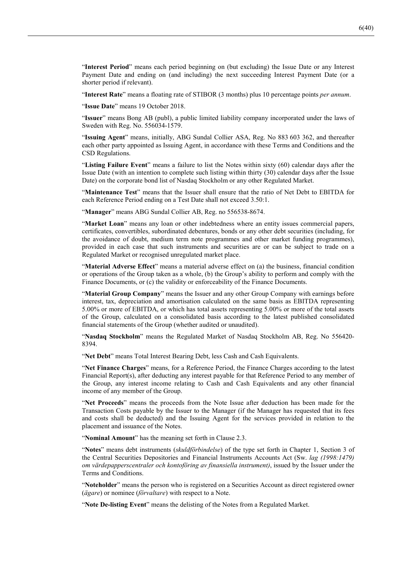"**Interest Period**" means each period beginning on (but excluding) the Issue Date or any Interest Payment Date and ending on (and including) the next succeeding Interest Payment Date (or a shorter period if relevant).

"**Interest Rate**" means a floating rate of STIBOR (3 months) plus 10 percentage points *per annum*.

"**Issue Date**" means 19 October 2018.

"**Issuer**" means Bong AB (publ), a public limited liability company incorporated under the laws of Sweden with Reg. No. 556034-1579.

"**Issuing Agent**" means, initially, ABG Sundal Collier ASA, Reg. No 883 603 362, and thereafter each other party appointed as Issuing Agent, in accordance with these Terms and Conditions and the CSD Regulations.

"**Listing Failure Event**" means a failure to list the Notes within sixty (60) calendar days after the Issue Date (with an intention to complete such listing within thirty (30) calendar days after the Issue Date) on the corporate bond list of Nasdaq Stockholm or any other Regulated Market.

"**Maintenance Test**" means that the Issuer shall ensure that the ratio of Net Debt to EBITDA for each Reference Period ending on a Test Date shall not exceed 3.50:1.

"**Manager**" means ABG Sundal Collier AB, Reg. no 556538-8674.

"**Market Loan**" means any loan or other indebtedness where an entity issues commercial papers, certificates, convertibles, subordinated debentures, bonds or any other debt securities (including, for the avoidance of doubt, medium term note programmes and other market funding programmes), provided in each case that such instruments and securities are or can be subject to trade on a Regulated Market or recognised unregulated market place.

"**Material Adverse Effect**" means a material adverse effect on (a) the business, financial condition or operations of the Group taken as a whole, (b) the Group's ability to perform and comply with the Finance Documents, or (c) the validity or enforceability of the Finance Documents.

"**Material Group Company**" means the Issuer and any other Group Company with earnings before interest, tax, depreciation and amortisation calculated on the same basis as EBITDA representing 5.00% or more of EBITDA, or which has total assets representing 5.00% or more of the total assets of the Group, calculated on a consolidated basis according to the latest published consolidated financial statements of the Group (whether audited or unaudited).

"**Nasdaq Stockholm**" means the Regulated Market of Nasdaq Stockholm AB, Reg. No 556420- 8394.

"**Net Debt**" means Total Interest Bearing Debt, less Cash and Cash Equivalents.

"**Net Finance Charges**" means, for a Reference Period, the Finance Charges according to the latest Financial Report(s), after deducting any interest payable for that Reference Period to any member of the Group, any interest income relating to Cash and Cash Equivalents and any other financial income of any member of the Group.

"**Net Proceeds**" means the proceeds from the Note Issue after deduction has been made for the Transaction Costs payable by the Issuer to the Manager (if the Manager has requested that its fees and costs shall be deducted) and the Issuing Agent for the services provided in relation to the placement and issuance of the Notes.

"**Nominal Amount**" has the meaning set forth in Clause 2.3.

"**Notes**" means debt instruments (*skuldförbindelse*) of the type set forth in Chapter 1, Section 3 of the Central Securities Depositories and Financial Instruments Accounts Act (Sw. *lag (1998:1479) om värdepapperscentraler och kontoföring av finansiella instrument)*, issued by the Issuer under the Terms and Conditions.

"**Noteholder**" means the person who is registered on a Securities Account as direct registered owner (*ägare*) or nominee (*förvaltare*) with respect to a Note.

"**Note De-listing Event**" means the delisting of the Notes from a Regulated Market.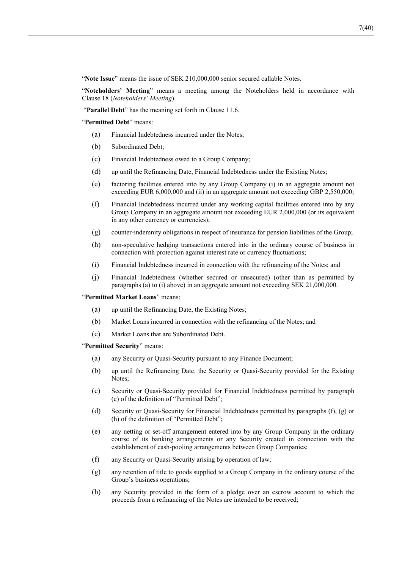"**Note Issue**" means the issue of SEK 210,000,000 senior secured callable Notes.

"**Noteholders' Meeting**" means a meeting among the Noteholders held in accordance with Clause 18 (*Noteholders' Meeting*).

"**Parallel Debt**" has the meaning set forth in Clause 11.6.

"**Permitted Debt**" means:

- (a) Financial Indebtedness incurred under the Notes;
- (b) Subordinated Debt;
- (c) Financial Indebtedness owed to a Group Company;
- (d) up until the Refinancing Date, Financial Indebtedness under the Existing Notes;
- (e) factoring facilities entered into by any Group Company (i) in an aggregate amount not exceeding EUR 6,000,000 and (ii) in an aggregate amount not exceeding GBP 2,550,000;
- (f) Financial Indebtedness incurred under any working capital facilities entered into by any Group Company in an aggregate amount not exceeding EUR 2,000,000 (or its equivalent in any other currency or currencies);
- (g) counter-indemnity obligations in respect of insurance for pension liabilities of the Group;
- (h) non-speculative hedging transactions entered into in the ordinary course of business in connection with protection against interest rate or currency fluctuations;
- (i) Financial Indebtedness incurred in connection with the refinancing of the Notes; and
- (j) Financial Indebtedness (whether secured or unsecured) (other than as permitted by paragraphs (a) to (i) above) in an aggregate amount not exceeding SEK 21,000,000.

"**Permitted Market Loans**" means:

- (a) up until the Refinancing Date, the Existing Notes;
- (b) Market Loans incurred in connection with the refinancing of the Notes; and
- (c) Market Loans that are Subordinated Debt.

"**Permitted Security**" means:

- (a) any Security or Quasi-Security pursuant to any Finance Document;
- (b) up until the Refinancing Date, the Security or Quasi-Security provided for the Existing Notes;
- (c) Security or Quasi-Security provided for Financial Indebtedness permitted by paragraph (e) of the definition of "Permitted Debt";
- (d) Security or Quasi-Security for Financial Indebtedness permitted by paragraphs (f), (g) or (h) of the definition of "Permitted Debt";
- (e) any netting or set-off arrangement entered into by any Group Company in the ordinary course of its banking arrangements or any Security created in connection with the establishment of cash-pooling arrangements between Group Companies;
- (f) any Security or Quasi-Security arising by operation of law;
- (g) any retention of title to goods supplied to a Group Company in the ordinary course of the Group's business operations;
- (h) any Security provided in the form of a pledge over an escrow account to which the proceeds from a refinancing of the Notes are intended to be received;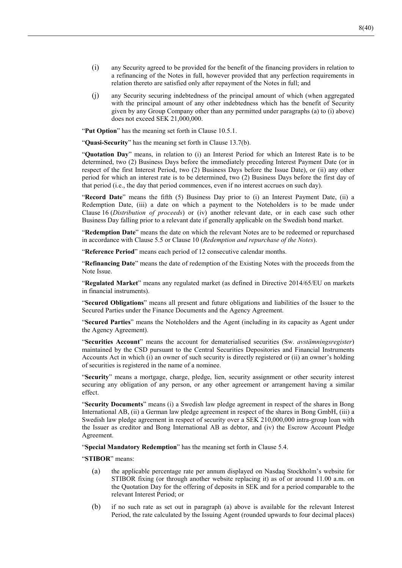- (i) any Security agreed to be provided for the benefit of the financing providers in relation to a refinancing of the Notes in full, however provided that any perfection requirements in relation thereto are satisfied only after repayment of the Notes in full; and
- (j) any Security securing indebtedness of the principal amount of which (when aggregated with the principal amount of any other indebtedness which has the benefit of Security given by any Group Company other than any permitted under paragraphs (a) to (i) above) does not exceed SEK 21,000,000.

"**Put Option**" has the meaning set forth in Clause 10.5.1.

"**Quasi-Security**" has the meaning set forth in Clause 13.7(b).

"**Quotation Day**" means, in relation to (i) an Interest Period for which an Interest Rate is to be determined, two (2) Business Days before the immediately preceding Interest Payment Date (or in respect of the first Interest Period, two (2) Business Days before the Issue Date), or (ii) any other period for which an interest rate is to be determined, two (2) Business Days before the first day of that period (i.e., the day that period commences, even if no interest accrues on such day).

"**Record Date**" means the fifth (5) Business Day prior to (i) an Interest Payment Date, (ii) a Redemption Date, (iii) a date on which a payment to the Noteholders is to be made under Clause 16 (*Distribution of proceeds*) or (iv) another relevant date, or in each case such other Business Day falling prior to a relevant date if generally applicable on the Swedish bond market.

"**Redemption Date**" means the date on which the relevant Notes are to be redeemed or repurchased in accordance with Clause 5.5 or Clause 10 (*Redemption and repurchase of the Notes*).

"**Reference Period**" means each period of 12 consecutive calendar months.

"**Refinancing Date**" means the date of redemption of the Existing Notes with the proceeds from the Note Issue.

"**Regulated Market**" means any regulated market (as defined in Directive 2014/65/EU on markets in financial instruments).

"**Secured Obligations**" means all present and future obligations and liabilities of the Issuer to the Secured Parties under the Finance Documents and the Agency Agreement.

"**Secured Parties**" means the Noteholders and the Agent (including in its capacity as Agent under the Agency Agreement).

"**Securities Account**" means the account for dematerialised securities (Sw. *avstämningsregister*) maintained by the CSD pursuant to the Central Securities Depositories and Financial Instruments Accounts Act in which (i) an owner of such security is directly registered or (ii) an owner's holding of securities is registered in the name of a nominee.

"**Security**" means a mortgage, charge, pledge, lien, security assignment or other security interest securing any obligation of any person, or any other agreement or arrangement having a similar effect.

"**Security Documents**" means (i) a Swedish law pledge agreement in respect of the shares in Bong International AB, (ii) a German law pledge agreement in respect of the shares in Bong GmbH, (iii) a Swedish law pledge agreement in respect of security over a SEK 210,000,000 intra-group loan with the Issuer as creditor and Bong International AB as debtor, and (iv) the Escrow Account Pledge Agreement.

"**Special Mandatory Redemption**" has the meaning set forth in Clause 5.4.

"**STIBOR**" means:

- (a) the applicable percentage rate per annum displayed on Nasdaq Stockholm's website for STIBOR fixing (or through another website replacing it) as of or around 11.00 a.m. on the Quotation Day for the offering of deposits in SEK and for a period comparable to the relevant Interest Period; or
- (b) if no such rate as set out in paragraph (a) above is available for the relevant Interest Period, the rate calculated by the Issuing Agent (rounded upwards to four decimal places)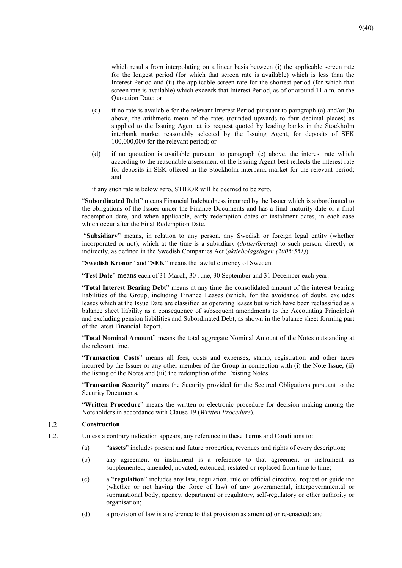which results from interpolating on a linear basis between (i) the applicable screen rate for the longest period (for which that screen rate is available) which is less than the Interest Period and (ii) the applicable screen rate for the shortest period (for which that screen rate is available) which exceeds that Interest Period, as of or around 11 a.m. on the Quotation Date; or

- (c) if no rate is available for the relevant Interest Period pursuant to paragraph (a) and/or (b) above, the arithmetic mean of the rates (rounded upwards to four decimal places) as supplied to the Issuing Agent at its request quoted by leading banks in the Stockholm interbank market reasonably selected by the Issuing Agent, for deposits of SEK 100,000,000 for the relevant period; or
- (d) if no quotation is available pursuant to paragraph (c) above, the interest rate which according to the reasonable assessment of the Issuing Agent best reflects the interest rate for deposits in SEK offered in the Stockholm interbank market for the relevant period; and
- if any such rate is below zero, STIBOR will be deemed to be zero.

"**Subordinated Debt**" means Financial Indebtedness incurred by the Issuer which is subordinated to the obligations of the Issuer under the Finance Documents and has a final maturity date or a final redemption date, and when applicable, early redemption dates or instalment dates, in each case which occur after the Final Redemption Date.

 "**Subsidiary**" means, in relation to any person, any Swedish or foreign legal entity (whether incorporated or not), which at the time is a subsidiary (*dotterföretag*) to such person, directly or indirectly, as defined in the Swedish Companies Act (*aktiebolagslagen (2005:551)*).

"**Swedish Kronor**" and "**SEK**" means the lawful currency of Sweden.

"**Test Date**" means each of 31 March, 30 June, 30 September and 31 December each year.

"**Total Interest Bearing Debt**" means at any time the consolidated amount of the interest bearing liabilities of the Group, including Finance Leases (which, for the avoidance of doubt, excludes leases which at the Issue Date are classified as operating leases but which have been reclassified as a balance sheet liability as a consequence of subsequent amendments to the Accounting Principles) and excluding pension liabilities and Subordinated Debt, as shown in the balance sheet forming part of the latest Financial Report.

"**Total Nominal Amount**" means the total aggregate Nominal Amount of the Notes outstanding at the relevant time.

"**Transaction Costs**" means all fees, costs and expenses, stamp, registration and other taxes incurred by the Issuer or any other member of the Group in connection with (i) the Note Issue, (ii) the listing of the Notes and (iii) the redemption of the Existing Notes.

"**Transaction Security**" means the Security provided for the Secured Obligations pursuant to the Security Documents.

"**Written Procedure**" means the written or electronic procedure for decision making among the Noteholders in accordance with Clause 19 (*Written Procedure*).

#### $1.2$ **Construction**

- 1.2.1 Unless a contrary indication appears, any reference in these Terms and Conditions to:
	- (a) "**assets**" includes present and future properties, revenues and rights of every description;
	- (b) any agreement or instrument is a reference to that agreement or instrument as supplemented, amended, novated, extended, restated or replaced from time to time;
	- (c) a "**regulation**" includes any law, regulation, rule or official directive, request or guideline (whether or not having the force of law) of any governmental, intergovernmental or supranational body, agency, department or regulatory, self-regulatory or other authority or organisation;
	- (d) a provision of law is a reference to that provision as amended or re-enacted; and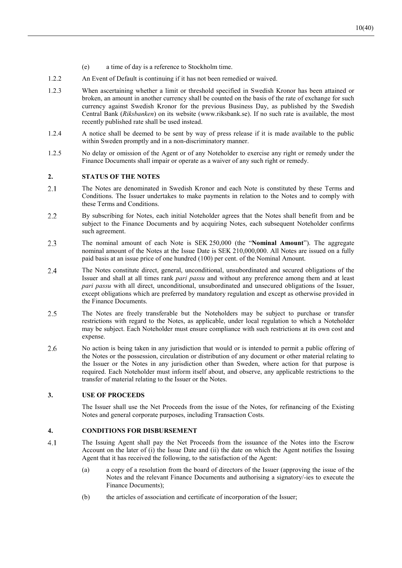- (e) a time of day is a reference to Stockholm time.
- 1.2.2 An Event of Default is continuing if it has not been remedied or waived.
- 1.2.3 When ascertaining whether a limit or threshold specified in Swedish Kronor has been attained or broken, an amount in another currency shall be counted on the basis of the rate of exchange for such currency against Swedish Kronor for the previous Business Day, as published by the Swedish Central Bank (*Riksbanken*) on its website (www.riksbank.se). If no such rate is available, the most recently published rate shall be used instead.
- 1.2.4 A notice shall be deemed to be sent by way of press release if it is made available to the public within Sweden promptly and in a non-discriminatory manner.
- 1.2.5 No delay or omission of the Agent or of any Noteholder to exercise any right or remedy under the Finance Documents shall impair or operate as a waiver of any such right or remedy.

### **2. STATUS OF THE NOTES**

- $2.1$ The Notes are denominated in Swedish Kronor and each Note is constituted by these Terms and Conditions. The Issuer undertakes to make payments in relation to the Notes and to comply with these Terms and Conditions.
- $2.2$ By subscribing for Notes, each initial Noteholder agrees that the Notes shall benefit from and be subject to the Finance Documents and by acquiring Notes, each subsequent Noteholder confirms such agreement.
- 2.3 The nominal amount of each Note is SEK 250,000 (the "**Nominal Amount**"). The aggregate nominal amount of the Notes at the Issue Date is SEK 210,000,000. All Notes are issued on a fully paid basis at an issue price of one hundred (100) per cent. of the Nominal Amount.
- 2.4 The Notes constitute direct, general, unconditional, unsubordinated and secured obligations of the Issuer and shall at all times rank *pari passu* and without any preference among them and at least *pari passu* with all direct, unconditional, unsubordinated and unsecured obligations of the Issuer, except obligations which are preferred by mandatory regulation and except as otherwise provided in the Finance Documents.
- $2.5$ The Notes are freely transferable but the Noteholders may be subject to purchase or transfer restrictions with regard to the Notes, as applicable, under local regulation to which a Noteholder may be subject. Each Noteholder must ensure compliance with such restrictions at its own cost and expense.
- 2.6 No action is being taken in any jurisdiction that would or is intended to permit a public offering of the Notes or the possession, circulation or distribution of any document or other material relating to the Issuer or the Notes in any jurisdiction other than Sweden, where action for that purpose is required. Each Noteholder must inform itself about, and observe, any applicable restrictions to the transfer of material relating to the Issuer or the Notes.

### **3. USE OF PROCEEDS**

The Issuer shall use the Net Proceeds from the issue of the Notes, for refinancing of the Existing Notes and general corporate purposes, including Transaction Costs.

### **4. CONDITIONS FOR DISBURSEMENT**

- $4.1$ The Issuing Agent shall pay the Net Proceeds from the issuance of the Notes into the Escrow Account on the later of (i) the Issue Date and (ii) the date on which the Agent notifies the Issuing Agent that it has received the following, to the satisfaction of the Agent:
	- (a) a copy of a resolution from the board of directors of the Issuer (approving the issue of the Notes and the relevant Finance Documents and authorising a signatory/-ies to execute the Finance Documents);
	- (b) the articles of association and certificate of incorporation of the Issuer;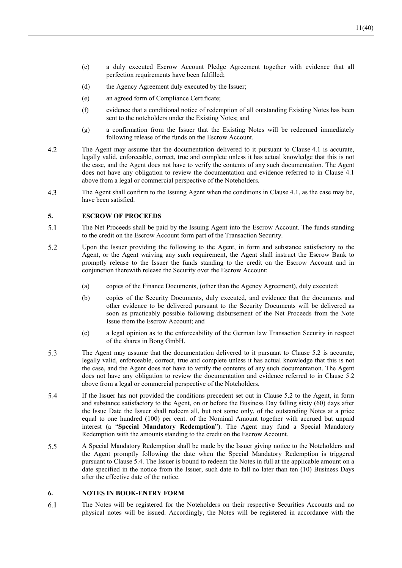- (c) a duly executed Escrow Account Pledge Agreement together with evidence that all perfection requirements have been fulfilled;
- (d) the Agency Agreement duly executed by the Issuer;
- (e) an agreed form of Compliance Certificate;
- (f) evidence that a conditional notice of redemption of all outstanding Existing Notes has been sent to the noteholders under the Existing Notes; and
- (g) a confirmation from the Issuer that the Existing Notes will be redeemed immediately following release of the funds on the Escrow Account.
- $4.2$ The Agent may assume that the documentation delivered to it pursuant to Clause 4.1 is accurate, legally valid, enforceable, correct, true and complete unless it has actual knowledge that this is not the case, and the Agent does not have to verify the contents of any such documentation. The Agent does not have any obligation to review the documentation and evidence referred to in Clause 4.1 above from a legal or commercial perspective of the Noteholders.
- 4.3 The Agent shall confirm to the Issuing Agent when the conditions in Clause 4.1, as the case may be, have been satisfied.

### **5. ESCROW OF PROCEEDS**

- $5.1$ The Net Proceeds shall be paid by the Issuing Agent into the Escrow Account. The funds standing to the credit on the Escrow Account form part of the Transaction Security.
- 5.2 Upon the Issuer providing the following to the Agent, in form and substance satisfactory to the Agent, or the Agent waiving any such requirement, the Agent shall instruct the Escrow Bank to promptly release to the Issuer the funds standing to the credit on the Escrow Account and in conjunction therewith release the Security over the Escrow Account:
	- (a) copies of the Finance Documents, (other than the Agency Agreement), duly executed;
	- (b) copies of the Security Documents, duly executed, and evidence that the documents and other evidence to be delivered pursuant to the Security Documents will be delivered as soon as practicably possible following disbursement of the Net Proceeds from the Note Issue from the Escrow Account; and
	- (c) a legal opinion as to the enforceability of the German law Transaction Security in respect of the shares in Bong GmbH.
- 5.3 The Agent may assume that the documentation delivered to it pursuant to Clause 5.2 is accurate, legally valid, enforceable, correct, true and complete unless it has actual knowledge that this is not the case, and the Agent does not have to verify the contents of any such documentation. The Agent does not have any obligation to review the documentation and evidence referred to in Clause 5.2 above from a legal or commercial perspective of the Noteholders.
- 5.4 If the Issuer has not provided the conditions precedent set out in Clause 5.2 to the Agent, in form and substance satisfactory to the Agent, on or before the Business Day falling sixty (60) days after the Issue Date the Issuer shall redeem all, but not some only, of the outstanding Notes at a price equal to one hundred (100) per cent. of the Nominal Amount together with accrued but unpaid interest (a "**Special Mandatory Redemption**"). The Agent may fund a Special Mandatory Redemption with the amounts standing to the credit on the Escrow Account.
- 5.5 A Special Mandatory Redemption shall be made by the Issuer giving notice to the Noteholders and the Agent promptly following the date when the Special Mandatory Redemption is triggered pursuant to Clause 5.4. The Issuer is bound to redeem the Notes in full at the applicable amount on a date specified in the notice from the Issuer, such date to fall no later than ten (10) Business Days after the effective date of the notice.

### **6. NOTES IN BOOK-ENTRY FORM**

6.1 The Notes will be registered for the Noteholders on their respective Securities Accounts and no physical notes will be issued. Accordingly, the Notes will be registered in accordance with the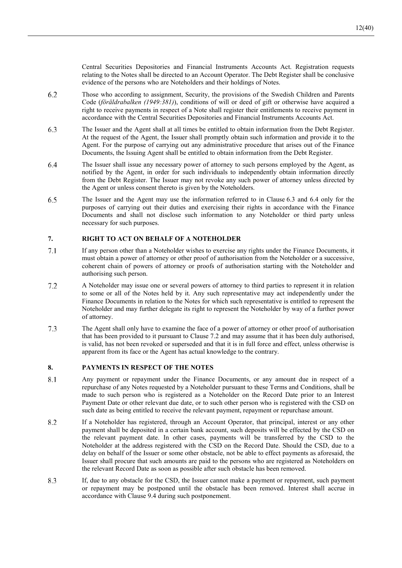Central Securities Depositories and Financial Instruments Accounts Act. Registration requests relating to the Notes shall be directed to an Account Operator. The Debt Register shall be conclusive evidence of the persons who are Noteholders and their holdings of Notes.

- Those who according to assignment, Security, the provisions of the Swedish Children and Parents 6.2 Code (*föräldrabalken (1949:381)*), conditions of will or deed of gift or otherwise have acquired a right to receive payments in respect of a Note shall register their entitlements to receive payment in accordance with the Central Securities Depositories and Financial Instruments Accounts Act.
- 6.3 The Issuer and the Agent shall at all times be entitled to obtain information from the Debt Register. At the request of the Agent, the Issuer shall promptly obtain such information and provide it to the Agent. For the purpose of carrying out any administrative procedure that arises out of the Finance Documents, the Issuing Agent shall be entitled to obtain information from the Debt Register.
- 6.4 The Issuer shall issue any necessary power of attorney to such persons employed by the Agent, as notified by the Agent, in order for such individuals to independently obtain information directly from the Debt Register. The Issuer may not revoke any such power of attorney unless directed by the Agent or unless consent thereto is given by the Noteholders.
- 6.5 The Issuer and the Agent may use the information referred to in Clause 6.3 and 6.4 only for the purposes of carrying out their duties and exercising their rights in accordance with the Finance Documents and shall not disclose such information to any Noteholder or third party unless necessary for such purposes.

### **7. RIGHT TO ACT ON BEHALF OF A NOTEHOLDER**

- $7.1$ If any person other than a Noteholder wishes to exercise any rights under the Finance Documents, it must obtain a power of attorney or other proof of authorisation from the Noteholder or a successive, coherent chain of powers of attorney or proofs of authorisation starting with the Noteholder and authorising such person.
- $7.2$ A Noteholder may issue one or several powers of attorney to third parties to represent it in relation to some or all of the Notes held by it. Any such representative may act independently under the Finance Documents in relation to the Notes for which such representative is entitled to represent the Noteholder and may further delegate its right to represent the Noteholder by way of a further power of attorney.
- $7.3$ The Agent shall only have to examine the face of a power of attorney or other proof of authorisation that has been provided to it pursuant to Clause 7.2 and may assume that it has been duly authorised, is valid, has not been revoked or superseded and that it is in full force and effect, unless otherwise is apparent from its face or the Agent has actual knowledge to the contrary.

### **8. PAYMENTS IN RESPECT OF THE NOTES**

- Any payment or repayment under the Finance Documents, or any amount due in respect of a 8.1 repurchase of any Notes requested by a Noteholder pursuant to these Terms and Conditions, shall be made to such person who is registered as a Noteholder on the Record Date prior to an Interest Payment Date or other relevant due date, or to such other person who is registered with the CSD on such date as being entitled to receive the relevant payment, repayment or repurchase amount.
- 8.2 If a Noteholder has registered, through an Account Operator, that principal, interest or any other payment shall be deposited in a certain bank account, such deposits will be effected by the CSD on the relevant payment date. In other cases, payments will be transferred by the CSD to the Noteholder at the address registered with the CSD on the Record Date. Should the CSD, due to a delay on behalf of the Issuer or some other obstacle, not be able to effect payments as aforesaid, the Issuer shall procure that such amounts are paid to the persons who are registered as Noteholders on the relevant Record Date as soon as possible after such obstacle has been removed.
- 8.3 If, due to any obstacle for the CSD, the Issuer cannot make a payment or repayment, such payment or repayment may be postponed until the obstacle has been removed. Interest shall accrue in accordance with Clause 9.4 during such postponement.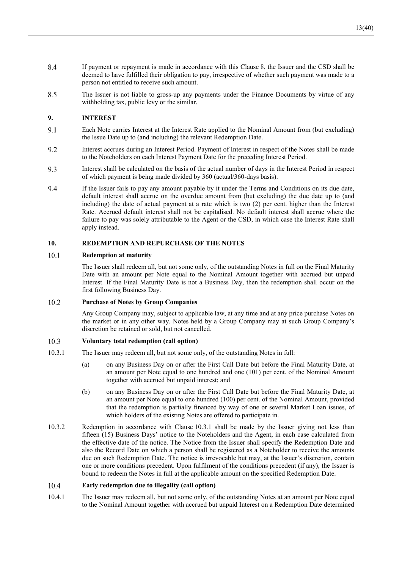- 8.4 If payment or repayment is made in accordance with this Clause 8, the Issuer and the CSD shall be deemed to have fulfilled their obligation to pay, irrespective of whether such payment was made to a person not entitled to receive such amount.
- 8.5 The Issuer is not liable to gross-up any payments under the Finance Documents by virtue of any withholding tax, public levy or the similar.

### **9. INTEREST**

- 9.1 Each Note carries Interest at the Interest Rate applied to the Nominal Amount from (but excluding) the Issue Date up to (and including) the relevant Redemption Date.
- 9.2 Interest accrues during an Interest Period. Payment of Interest in respect of the Notes shall be made to the Noteholders on each Interest Payment Date for the preceding Interest Period.
- $93$ Interest shall be calculated on the basis of the actual number of days in the Interest Period in respect of which payment is being made divided by 360 (actual/360-days basis).
- 9.4 If the Issuer fails to pay any amount payable by it under the Terms and Conditions on its due date, default interest shall accrue on the overdue amount from (but excluding) the due date up to (and including) the date of actual payment at a rate which is two (2) per cent. higher than the Interest Rate. Accrued default interest shall not be capitalised. No default interest shall accrue where the failure to pay was solely attributable to the Agent or the CSD, in which case the Interest Rate shall apply instead.

### **10. REDEMPTION AND REPURCHASE OF THE NOTES**

#### 10.1 **Redemption at maturity**

The Issuer shall redeem all, but not some only, of the outstanding Notes in full on the Final Maturity Date with an amount per Note equal to the Nominal Amount together with accrued but unpaid Interest. If the Final Maturity Date is not a Business Day, then the redemption shall occur on the first following Business Day.

#### 10.2 **Purchase of Notes by Group Companies**

Any Group Company may, subject to applicable law, at any time and at any price purchase Notes on the market or in any other way. Notes held by a Group Company may at such Group Company's discretion be retained or sold, but not cancelled.

#### 10.3 **Voluntary total redemption (call option)**

- 10.3.1 The Issuer may redeem all, but not some only, of the outstanding Notes in full:
	- (a) on any Business Day on or after the First Call Date but before the Final Maturity Date, at an amount per Note equal to one hundred and one (101) per cent. of the Nominal Amount together with accrued but unpaid interest; and
	- (b) on any Business Day on or after the First Call Date but before the Final Maturity Date, at an amount per Note equal to one hundred (100) per cent. of the Nominal Amount, provided that the redemption is partially financed by way of one or several Market Loan issues, of which holders of the existing Notes are offered to participate in.
- 10.3.2 Redemption in accordance with Clause 10.3.1 shall be made by the Issuer giving not less than fifteen (15) Business Days' notice to the Noteholders and the Agent, in each case calculated from the effective date of the notice. The Notice from the Issuer shall specify the Redemption Date and also the Record Date on which a person shall be registered as a Noteholder to receive the amounts due on such Redemption Date. The notice is irrevocable but may, at the Issuer's discretion, contain one or more conditions precedent. Upon fulfilment of the conditions precedent (if any), the Issuer is bound to redeem the Notes in full at the applicable amount on the specified Redemption Date.

#### 10.4 **Early redemption due to illegality (call option)**

10.4.1 The Issuer may redeem all, but not some only, of the outstanding Notes at an amount per Note equal to the Nominal Amount together with accrued but unpaid Interest on a Redemption Date determined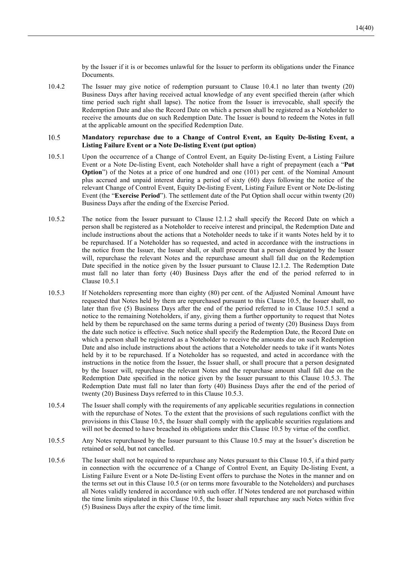by the Issuer if it is or becomes unlawful for the Issuer to perform its obligations under the Finance **Documents** 

10.4.2 The Issuer may give notice of redemption pursuant to Clause 10.4.1 no later than twenty (20) Business Days after having received actual knowledge of any event specified therein (after which time period such right shall lapse). The notice from the Issuer is irrevocable, shall specify the Redemption Date and also the Record Date on which a person shall be registered as a Noteholder to receive the amounts due on such Redemption Date. The Issuer is bound to redeem the Notes in full at the applicable amount on the specified Redemption Date.

#### 10.5 **Mandatory repurchase due to a Change of Control Event, an Equity De-listing Event, a Listing Failure Event or a Note De-listing Event (put option)**

- 10.5.1 Upon the occurrence of a Change of Control Event, an Equity De-listing Event, a Listing Failure Event or a Note De-listing Event, each Noteholder shall have a right of prepayment (each a "**Put Option**") of the Notes at a price of one hundred and one (101) per cent. of the Nominal Amount plus accrued and unpaid interest during a period of sixty (60) days following the notice of the relevant Change of Control Event, Equity De-listing Event, Listing Failure Event or Note De-listing Event (the "**Exercise Period**"). The settlement date of the Put Option shall occur within twenty (20) Business Days after the ending of the Exercise Period.
- 10.5.2 The notice from the Issuer pursuant to Clause 12.1.2 shall specify the Record Date on which a person shall be registered as a Noteholder to receive interest and principal, the Redemption Date and include instructions about the actions that a Noteholder needs to take if it wants Notes held by it to be repurchased. If a Noteholder has so requested, and acted in accordance with the instructions in the notice from the Issuer, the Issuer shall, or shall procure that a person designated by the Issuer will, repurchase the relevant Notes and the repurchase amount shall fall due on the Redemption Date specified in the notice given by the Issuer pursuant to Clause 12.1.2. The Redemption Date must fall no later than forty (40) Business Days after the end of the period referred to in Clause 10.5.1
- 10.5.3 If Noteholders representing more than eighty (80) per cent. of the Adjusted Nominal Amount have requested that Notes held by them are repurchased pursuant to this Clause 10.5, the Issuer shall, no later than five (5) Business Days after the end of the period referred to in Clause 10.5.1 send a notice to the remaining Noteholders, if any, giving them a further opportunity to request that Notes held by them be repurchased on the same terms during a period of twenty (20) Business Days from the date such notice is effective. Such notice shall specify the Redemption Date, the Record Date on which a person shall be registered as a Noteholder to receive the amounts due on such Redemption Date and also include instructions about the actions that a Noteholder needs to take if it wants Notes held by it to be repurchased. If a Noteholder has so requested, and acted in accordance with the instructions in the notice from the Issuer, the Issuer shall, or shall procure that a person designated by the Issuer will, repurchase the relevant Notes and the repurchase amount shall fall due on the Redemption Date specified in the notice given by the Issuer pursuant to this Clause 10.5.3. The Redemption Date must fall no later than forty (40) Business Days after the end of the period of twenty (20) Business Days referred to in this Clause 10.5.3.
- 10.5.4 The Issuer shall comply with the requirements of any applicable securities regulations in connection with the repurchase of Notes. To the extent that the provisions of such regulations conflict with the provisions in this Clause 10.5, the Issuer shall comply with the applicable securities regulations and will not be deemed to have breached its obligations under this Clause 10.5 by virtue of the conflict.
- 10.5.5 Any Notes repurchased by the Issuer pursuant to this Clause 10.5 may at the Issuer's discretion be retained or sold, but not cancelled.
- 10.5.6 The Issuer shall not be required to repurchase any Notes pursuant to this Clause 10.5, if a third party in connection with the occurrence of a Change of Control Event, an Equity De-listing Event, a Listing Failure Event or a Note De-listing Event offers to purchase the Notes in the manner and on the terms set out in this Clause 10.5 (or on terms more favourable to the Noteholders) and purchases all Notes validly tendered in accordance with such offer. If Notes tendered are not purchased within the time limits stipulated in this Clause 10.5, the Issuer shall repurchase any such Notes within five (5) Business Days after the expiry of the time limit.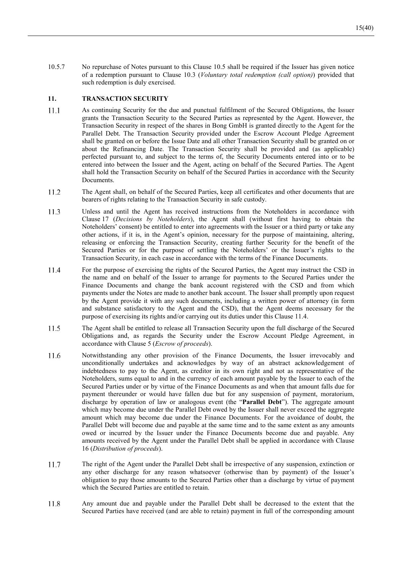10.5.7 No repurchase of Notes pursuant to this Clause 10.5 shall be required if the Issuer has given notice of a redemption pursuant to Clause 10.3 (*Voluntary total redemption (call option)*) provided that such redemption is duly exercised.

### **11. TRANSACTION SECURITY**

- $11.1$ As continuing Security for the due and punctual fulfilment of the Secured Obligations, the Issuer grants the Transaction Security to the Secured Parties as represented by the Agent. However, the Transaction Security in respect of the shares in Bong GmbH is granted directly to the Agent for the Parallel Debt. The Transaction Security provided under the Escrow Account Pledge Agreement shall be granted on or before the Issue Date and all other Transaction Security shall be granted on or about the Refinancing Date. The Transaction Security shall be provided and (as applicable) perfected pursuant to, and subject to the terms of, the Security Documents entered into or to be entered into between the Issuer and the Agent, acting on behalf of the Secured Parties. The Agent shall hold the Transaction Security on behalf of the Secured Parties in accordance with the Security **Documents**
- 11.2 The Agent shall, on behalf of the Secured Parties, keep all certificates and other documents that are bearers of rights relating to the Transaction Security in safe custody.
- 11.3 Unless and until the Agent has received instructions from the Noteholders in accordance with Clause 17 (*Decisions by Noteholders*), the Agent shall (without first having to obtain the Noteholders' consent) be entitled to enter into agreements with the Issuer or a third party or take any other actions, if it is, in the Agent's opinion, necessary for the purpose of maintaining, altering, releasing or enforcing the Transaction Security, creating further Security for the benefit of the Secured Parties or for the purpose of settling the Noteholders' or the Issuer's rights to the Transaction Security, in each case in accordance with the terms of the Finance Documents.
- 11.4 For the purpose of exercising the rights of the Secured Parties, the Agent may instruct the CSD in the name and on behalf of the Issuer to arrange for payments to the Secured Parties under the Finance Documents and change the bank account registered with the CSD and from which payments under the Notes are made to another bank account. The Issuer shall promptly upon request by the Agent provide it with any such documents, including a written power of attorney (in form and substance satisfactory to the Agent and the CSD), that the Agent deems necessary for the purpose of exercising its rights and/or carrying out its duties under this Clause 11.4.
- 11.5 The Agent shall be entitled to release all Transaction Security upon the full discharge of the Secured Obligations and, as regards the Security under the Escrow Account Pledge Agreement, in accordance with Clause 5 (*Escrow of proceeds*).
- Notwithstanding any other provision of the Finance Documents, the Issuer irrevocably and 11.6 unconditionally undertakes and acknowledges by way of an abstract acknowledgement of indebtedness to pay to the Agent, as creditor in its own right and not as representative of the Noteholders, sums equal to and in the currency of each amount payable by the Issuer to each of the Secured Parties under or by virtue of the Finance Documents as and when that amount falls due for payment thereunder or would have fallen due but for any suspension of payment, moratorium, discharge by operation of law or analogous event (the "**Parallel Debt**"). The aggregate amount which may become due under the Parallel Debt owed by the Issuer shall never exceed the aggregate amount which may become due under the Finance Documents. For the avoidance of doubt, the Parallel Debt will become due and payable at the same time and to the same extent as any amounts owed or incurred by the Issuer under the Finance Documents become due and payable. Any amounts received by the Agent under the Parallel Debt shall be applied in accordance with Clause 16 (*Distribution of proceeds*).
- 11.7 The right of the Agent under the Parallel Debt shall be irrespective of any suspension, extinction or any other discharge for any reason whatsoever (otherwise than by payment) of the Issuer's obligation to pay those amounts to the Secured Parties other than a discharge by virtue of payment which the Secured Parties are entitled to retain.
- 11.8 Any amount due and payable under the Parallel Debt shall be decreased to the extent that the Secured Parties have received (and are able to retain) payment in full of the corresponding amount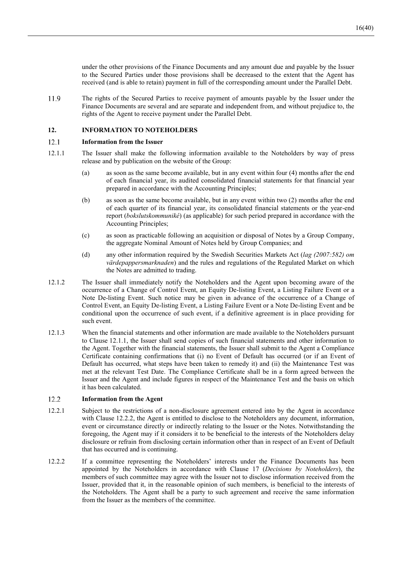under the other provisions of the Finance Documents and any amount due and payable by the Issuer to the Secured Parties under those provisions shall be decreased to the extent that the Agent has received (and is able to retain) payment in full of the corresponding amount under the Parallel Debt.

11.9 The rights of the Secured Parties to receive payment of amounts payable by the Issuer under the Finance Documents are several and are separate and independent from, and without prejudice to, the rights of the Agent to receive payment under the Parallel Debt.

### **12. INFORMATION TO NOTEHOLDERS**

#### 12.1 **Information from the Issuer**

- 12.1.1 The Issuer shall make the following information available to the Noteholders by way of press release and by publication on the website of the Group:
	- (a) as soon as the same become available, but in any event within four (4) months after the end of each financial year, its audited consolidated financial statements for that financial year prepared in accordance with the Accounting Principles;
	- (b) as soon as the same become available, but in any event within two (2) months after the end of each quarter of its financial year, its consolidated financial statements or the year-end report (*bokslutskommuniké*) (as applicable) for such period prepared in accordance with the Accounting Principles;
	- (c) as soon as practicable following an acquisition or disposal of Notes by a Group Company, the aggregate Nominal Amount of Notes held by Group Companies; and
	- (d) any other information required by the Swedish Securities Markets Act (*lag (2007:582) om värdepappersmarknaden*) and the rules and regulations of the Regulated Market on which the Notes are admitted to trading.
- 12.1.2 The Issuer shall immediately notify the Noteholders and the Agent upon becoming aware of the occurrence of a Change of Control Event, an Equity De-listing Event, a Listing Failure Event or a Note De-listing Event. Such notice may be given in advance of the occurrence of a Change of Control Event, an Equity De-listing Event, a Listing Failure Event or a Note De-listing Event and be conditional upon the occurrence of such event, if a definitive agreement is in place providing for such event.
- 12.1.3 When the financial statements and other information are made available to the Noteholders pursuant to Clause 12.1.1, the Issuer shall send copies of such financial statements and other information to the Agent. Together with the financial statements, the Issuer shall submit to the Agent a Compliance Certificate containing confirmations that (i) no Event of Default has occurred (or if an Event of Default has occurred, what steps have been taken to remedy it) and (ii) the Maintenance Test was met at the relevant Test Date. The Compliance Certificate shall be in a form agreed between the Issuer and the Agent and include figures in respect of the Maintenance Test and the basis on which it has been calculated.

#### 12.2 **Information from the Agent**

- 12.2.1 Subject to the restrictions of a non-disclosure agreement entered into by the Agent in accordance with Clause 12.2.2, the Agent is entitled to disclose to the Noteholders any document, information, event or circumstance directly or indirectly relating to the Issuer or the Notes. Notwithstanding the foregoing, the Agent may if it considers it to be beneficial to the interests of the Noteholders delay disclosure or refrain from disclosing certain information other than in respect of an Event of Default that has occurred and is continuing.
- 12.2.2 If a committee representing the Noteholders' interests under the Finance Documents has been appointed by the Noteholders in accordance with Clause 17 (*Decisions by Noteholders*), the members of such committee may agree with the Issuer not to disclose information received from the Issuer, provided that it, in the reasonable opinion of such members, is beneficial to the interests of the Noteholders. The Agent shall be a party to such agreement and receive the same information from the Issuer as the members of the committee.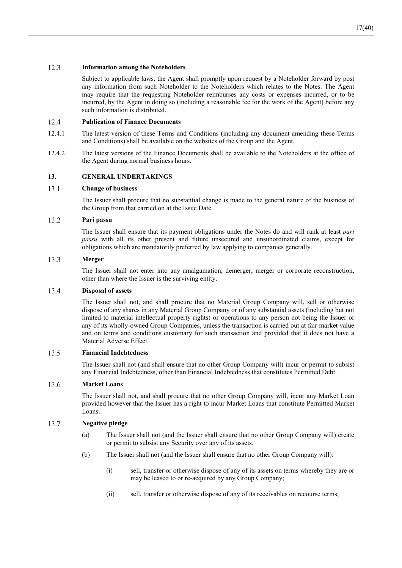#### 12.3 **Information among the Noteholders**

Subject to applicable laws, the Agent shall promptly upon request by a Noteholder forward by post any information from such Noteholder to the Noteholders which relates to the Notes. The Agent may require that the requesting Noteholder reimburses any costs or expenses incurred, or to be incurred, by the Agent in doing so (including a reasonable fee for the work of the Agent) before any such information is distributed.

#### 12.4 **Publication of Finance Documents**

- 12.4.1 The latest version of these Terms and Conditions (including any document amending these Terms and Conditions) shall be available on the websites of the Group and the Agent.
- 12.4.2 The latest versions of the Finance Documents shall be available to the Noteholders at the office of the Agent during normal business hours.

### **13. GENERAL UNDERTAKINGS**

#### 13.1 **Change of business**

The Issuer shall procure that no substantial change is made to the general nature of the business of the Group from that carried on at the Issue Date.

#### 13.2 **Pari passu**

The Issuer shall ensure that its payment obligations under the Notes do and will rank at least *pari passu* with all its other present and future unsecured and unsubordinated claims, except for obligations which are mandatorily preferred by law applying to companies generally.

#### 13.3 **Merger**

The Issuer shall not enter into any amalgamation, demerger, merger or corporate reconstruction, other than where the Issuer is the surviving entity.

#### 13.4 **Disposal of assets**

The Issuer shall not, and shall procure that no Material Group Company will, sell or otherwise dispose of any shares in any Material Group Company or of any substantial assets (including but not limited to material intellectual property rights) or operations to any person not being the Issuer or any of its wholly-owned Group Companies, unless the transaction is carried out at fair market value and on terms and conditions customary for such transaction and provided that it does not have a Material Adverse Effect.

#### 13.5 **Financial Indebtedness**

The Issuer shall not (and shall ensure that no other Group Company will) incur or permit to subsist any Financial Indebtedness, other than Financial Indebtedness that constitutes Permitted Debt.

#### 13.6 **Market Loans**

The Issuer shall not, and shall procure that no other Group Company will, incur any Market Loan provided however that the Issuer has a right to incur Market Loans that constitute Permitted Market Loans.

#### 13.7 **Negative pledge**

- (a) The Issuer shall not (and the Issuer shall ensure that no other Group Company will) create or permit to subsist any Security over any of its assets.
- (b) The Issuer shall not (and the Issuer shall ensure that no other Group Company will):
	- (i) sell, transfer or otherwise dispose of any of its assets on terms whereby they are or may be leased to or re-acquired by any Group Company;
	- (ii) sell, transfer or otherwise dispose of any of its receivables on recourse terms;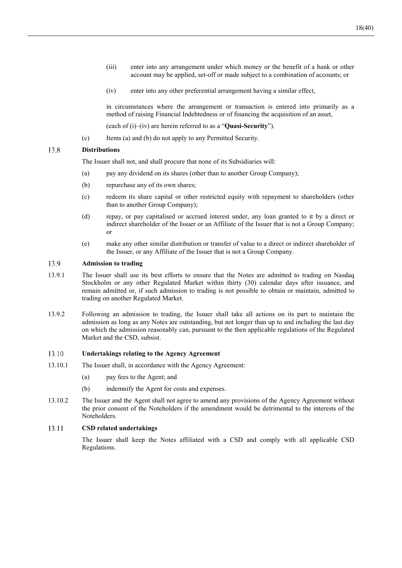- (iii) enter into any arrangement under which money or the benefit of a bank or other account may be applied, set-off or made subject to a combination of accounts; or
- (iv) enter into any other preferential arrangement having a similar effect,

in circumstances where the arrangement or transaction is entered into primarily as a method of raising Financial Indebtedness or of financing the acquisition of an asset,

(each of (i)–(iv) are herein referred to as a "**Quasi-Security**").

(c) Items (a) and (b) do not apply to any Permitted Security.

#### 13.8 **Distributions**

The Issuer shall not, and shall procure that none of its Subsidiaries will:

- (a) pay any dividend on its shares (other than to another Group Company);
- (b) repurchase any of its own shares;
- (c) redeem its share capital or other restricted equity with repayment to shareholders (other than to another Group Company);
- (d) repay, or pay capitalised or accrued interest under, any loan granted to it by a direct or indirect shareholder of the Issuer or an Affiliate of the Issuer that is not a Group Company; or
- (e) make any other similar distribution or transfer of value to a direct or indirect shareholder of the Issuer, or any Affiliate of the Issuer that is not a Group Company.

#### 13.9 **Admission to trading**

- 13.9.1 The Issuer shall use its best efforts to ensure that the Notes are admitted to trading on Nasdaq Stockholm or any other Regulated Market within thirty (30) calendar days after issuance, and remain admitted or, if such admission to trading is not possible to obtain or maintain, admitted to trading on another Regulated Market.
- 13.9.2 Following an admission to trading, the Issuer shall take all actions on its part to maintain the admission as long as any Notes are outstanding, but not longer than up to and including the last day on which the admission reasonably can, pursuant to the then applicable regulations of the Regulated Market and the CSD, subsist.

#### 13.10 **Undertakings relating to the Agency Agreement**

- 13.10.1 The Issuer shall, in accordance with the Agency Agreement:
	- (a) pay fees to the Agent; and
	- (b) indemnify the Agent for costs and expenses.
- 13.10.2 The Issuer and the Agent shall not agree to amend any provisions of the Agency Agreement without the prior consent of the Noteholders if the amendment would be detrimental to the interests of the Noteholders.

#### 13.11 **CSD related undertakings**

The Issuer shall keep the Notes affiliated with a CSD and comply with all applicable CSD Regulations.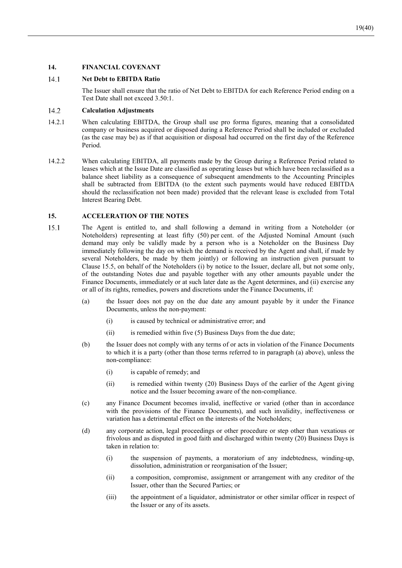### **14. FINANCIAL COVENANT**

#### $14.1$ **Net Debt to EBITDA Ratio**

The Issuer shall ensure that the ratio of Net Debt to EBITDA for each Reference Period ending on a Test Date shall not exceed 3.50:1.

#### 14.2 **Calculation Adjustments**

- 14.2.1 When calculating EBITDA, the Group shall use pro forma figures, meaning that a consolidated company or business acquired or disposed during a Reference Period shall be included or excluded (as the case may be) as if that acquisition or disposal had occurred on the first day of the Reference Period.
- 14.2.2 When calculating EBITDA, all payments made by the Group during a Reference Period related to leases which at the Issue Date are classified as operating leases but which have been reclassified as a balance sheet liability as a consequence of subsequent amendments to the Accounting Principles shall be subtracted from EBITDA (to the extent such payments would have reduced EBITDA should the reclassification not been made) provided that the relevant lease is excluded from Total Interest Bearing Debt.

### **15. ACCELERATION OF THE NOTES**

- 15.1 The Agent is entitled to, and shall following a demand in writing from a Noteholder (or Noteholders) representing at least fifty (50) per cent. of the Adjusted Nominal Amount (such demand may only be validly made by a person who is a Noteholder on the Business Day immediately following the day on which the demand is received by the Agent and shall, if made by several Noteholders, be made by them jointly) or following an instruction given pursuant to Clause 15.5, on behalf of the Noteholders (i) by notice to the Issuer, declare all, but not some only, of the outstanding Notes due and payable together with any other amounts payable under the Finance Documents, immediately or at such later date as the Agent determines, and (ii) exercise any or all of its rights, remedies, powers and discretions under the Finance Documents, if:
	- (a) the Issuer does not pay on the due date any amount payable by it under the Finance Documents, unless the non-payment:
		- (i) is caused by technical or administrative error; and
		- (ii) is remedied within five (5) Business Days from the due date;
	- (b) the Issuer does not comply with any terms of or acts in violation of the Finance Documents to which it is a party (other than those terms referred to in paragraph (a) above), unless the non-compliance:
		- (i) is capable of remedy; and
		- (ii) is remedied within twenty (20) Business Days of the earlier of the Agent giving notice and the Issuer becoming aware of the non-compliance.
	- (c) any Finance Document becomes invalid, ineffective or varied (other than in accordance with the provisions of the Finance Documents), and such invalidity, ineffectiveness or variation has a detrimental effect on the interests of the Noteholders;
	- (d) any corporate action, legal proceedings or other procedure or step other than vexatious or frivolous and as disputed in good faith and discharged within twenty (20) Business Days is taken in relation to:
		- (i) the suspension of payments, a moratorium of any indebtedness, winding-up, dissolution, administration or reorganisation of the Issuer;
		- (ii) a composition, compromise, assignment or arrangement with any creditor of the Issuer, other than the Secured Parties; or
		- (iii) the appointment of a liquidator, administrator or other similar officer in respect of the Issuer or any of its assets.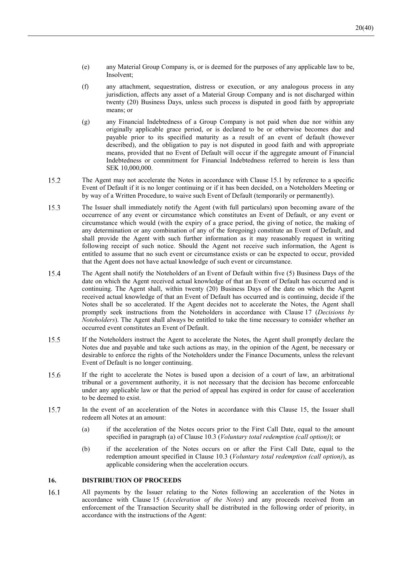- (e) any Material Group Company is, or is deemed for the purposes of any applicable law to be, Insolvent;
- (f) any attachment, sequestration, distress or execution, or any analogous process in any jurisdiction, affects any asset of a Material Group Company and is not discharged within twenty (20) Business Days, unless such process is disputed in good faith by appropriate means; or
- (g) any Financial Indebtedness of a Group Company is not paid when due nor within any originally applicable grace period, or is declared to be or otherwise becomes due and payable prior to its specified maturity as a result of an event of default (however described), and the obligation to pay is not disputed in good faith and with appropriate means, provided that no Event of Default will occur if the aggregate amount of Financial Indebtedness or commitment for Financial Indebtedness referred to herein is less than SEK 10,000,000.
- 15.2 The Agent may not accelerate the Notes in accordance with Clause 15.1 by reference to a specific Event of Default if it is no longer continuing or if it has been decided, on a Noteholders Meeting or by way of a Written Procedure, to waive such Event of Default (temporarily or permanently).
- 15.3 The Issuer shall immediately notify the Agent (with full particulars) upon becoming aware of the occurrence of any event or circumstance which constitutes an Event of Default, or any event or circumstance which would (with the expiry of a grace period, the giving of notice, the making of any determination or any combination of any of the foregoing) constitute an Event of Default, and shall provide the Agent with such further information as it may reasonably request in writing following receipt of such notice. Should the Agent not receive such information, the Agent is entitled to assume that no such event or circumstance exists or can be expected to occur, provided that the Agent does not have actual knowledge of such event or circumstance.
- 15.4 The Agent shall notify the Noteholders of an Event of Default within five (5) Business Days of the date on which the Agent received actual knowledge of that an Event of Default has occurred and is continuing. The Agent shall, within twenty (20) Business Days of the date on which the Agent received actual knowledge of that an Event of Default has occurred and is continuing, decide if the Notes shall be so accelerated. If the Agent decides not to accelerate the Notes, the Agent shall promptly seek instructions from the Noteholders in accordance with Clause 17 (*Decisions by Noteholders*). The Agent shall always be entitled to take the time necessary to consider whether an occurred event constitutes an Event of Default.
- 15.5 If the Noteholders instruct the Agent to accelerate the Notes, the Agent shall promptly declare the Notes due and payable and take such actions as may, in the opinion of the Agent, be necessary or desirable to enforce the rights of the Noteholders under the Finance Documents, unless the relevant Event of Default is no longer continuing.
- 15.6 If the right to accelerate the Notes is based upon a decision of a court of law, an arbitrational tribunal or a government authority, it is not necessary that the decision has become enforceable under any applicable law or that the period of appeal has expired in order for cause of acceleration to be deemed to exist.
- 15.7 In the event of an acceleration of the Notes in accordance with this Clause 15, the Issuer shall redeem all Notes at an amount:
	- (a) if the acceleration of the Notes occurs prior to the First Call Date, equal to the amount specified in paragraph (a) of Clause 10.3 (*Voluntary total redemption (call option)*); or
	- (b) if the acceleration of the Notes occurs on or after the First Call Date, equal to the redemption amount specified in Clause 10.3 (*Voluntary total redemption (call option)*), as applicable considering when the acceleration occurs.

### **16. DISTRIBUTION OF PROCEEDS**

16.1 All payments by the Issuer relating to the Notes following an acceleration of the Notes in accordance with Clause 15 (*Acceleration of the Notes*) and any proceeds received from an enforcement of the Transaction Security shall be distributed in the following order of priority, in accordance with the instructions of the Agent: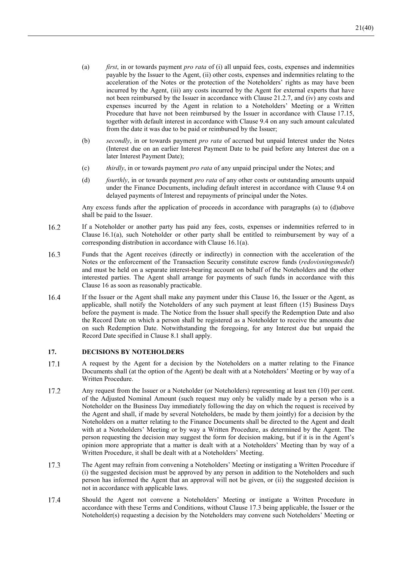- (a) *first*, in or towards payment *pro rata* of (i) all unpaid fees, costs, expenses and indemnities payable by the Issuer to the Agent, (ii) other costs, expenses and indemnities relating to the acceleration of the Notes or the protection of the Noteholders' rights as may have been incurred by the Agent, (iii) any costs incurred by the Agent for external experts that have not been reimbursed by the Issuer in accordance with Clause 21.2.7, and (iv) any costs and expenses incurred by the Agent in relation to a Noteholders' Meeting or a Written Procedure that have not been reimbursed by the Issuer in accordance with Clause 17.15, together with default interest in accordance with Clause 9.4 on any such amount calculated from the date it was due to be paid or reimbursed by the Issuer;
- (b) *secondly*, in or towards payment *pro rata* of accrued but unpaid Interest under the Notes (Interest due on an earlier Interest Payment Date to be paid before any Interest due on a later Interest Payment Date);
- (c) *thirdly*, in or towards payment *pro rata* of any unpaid principal under the Notes; and
- (d) *fourthly*, in or towards payment *pro rata* of any other costs or outstanding amounts unpaid under the Finance Documents, including default interest in accordance with Clause 9.4 on delayed payments of Interest and repayments of principal under the Notes.

Any excess funds after the application of proceeds in accordance with paragraphs (a) to (d)above shall be paid to the Issuer.

- 16.2 If a Noteholder or another party has paid any fees, costs, expenses or indemnities referred to in Clause 16.1(a), such Noteholder or other party shall be entitled to reimbursement by way of a corresponding distribution in accordance with Clause 16.1(a).
- 16.3 Funds that the Agent receives (directly or indirectly) in connection with the acceleration of the Notes or the enforcement of the Transaction Security constitute escrow funds (*redovisningsmedel*) and must be held on a separate interest-bearing account on behalf of the Noteholders and the other interested parties. The Agent shall arrange for payments of such funds in accordance with this Clause 16 as soon as reasonably practicable.
- 16.4 If the Issuer or the Agent shall make any payment under this Clause 16, the Issuer or the Agent, as applicable, shall notify the Noteholders of any such payment at least fifteen (15) Business Days before the payment is made. The Notice from the Issuer shall specify the Redemption Date and also the Record Date on which a person shall be registered as a Noteholder to receive the amounts due on such Redemption Date. Notwithstanding the foregoing, for any Interest due but unpaid the Record Date specified in Clause 8.1 shall apply.

### **17. DECISIONS BY NOTEHOLDERS**

- A request by the Agent for a decision by the Noteholders on a matter relating to the Finance 17.1 Documents shall (at the option of the Agent) be dealt with at a Noteholders' Meeting or by way of a Written Procedure.
- 17.2 Any request from the Issuer or a Noteholder (or Noteholders) representing at least ten (10) per cent. of the Adjusted Nominal Amount (such request may only be validly made by a person who is a Noteholder on the Business Day immediately following the day on which the request is received by the Agent and shall, if made by several Noteholders, be made by them jointly) for a decision by the Noteholders on a matter relating to the Finance Documents shall be directed to the Agent and dealt with at a Noteholders' Meeting or by way a Written Procedure, as determined by the Agent. The person requesting the decision may suggest the form for decision making, but if it is in the Agent's opinion more appropriate that a matter is dealt with at a Noteholders' Meeting than by way of a Written Procedure, it shall be dealt with at a Noteholders' Meeting.
- 17.3 The Agent may refrain from convening a Noteholders' Meeting or instigating a Written Procedure if (i) the suggested decision must be approved by any person in addition to the Noteholders and such person has informed the Agent that an approval will not be given, or (ii) the suggested decision is not in accordance with applicable laws.
- 17.4 Should the Agent not convene a Noteholders' Meeting or instigate a Written Procedure in accordance with these Terms and Conditions, without Clause 17.3 being applicable, the Issuer or the Noteholder(s) requesting a decision by the Noteholders may convene such Noteholders' Meeting or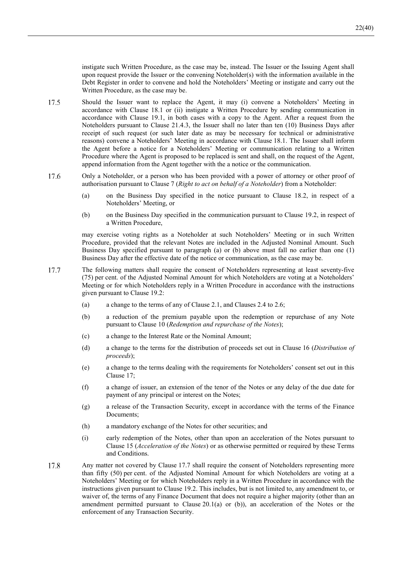instigate such Written Procedure, as the case may be, instead. The Issuer or the Issuing Agent shall upon request provide the Issuer or the convening Noteholder(s) with the information available in the Debt Register in order to convene and hold the Noteholders' Meeting or instigate and carry out the Written Procedure, as the case may be.

- 17.5 Should the Issuer want to replace the Agent, it may (i) convene a Noteholders' Meeting in accordance with Clause 18.1 or (ii) instigate a Written Procedure by sending communication in accordance with Clause 19.1, in both cases with a copy to the Agent. After a request from the Noteholders pursuant to Clause 21.4.3, the Issuer shall no later than ten (10) Business Days after receipt of such request (or such later date as may be necessary for technical or administrative reasons) convene a Noteholders' Meeting in accordance with Clause 18.1. The Issuer shall inform the Agent before a notice for a Noteholders' Meeting or communication relating to a Written Procedure where the Agent is proposed to be replaced is sent and shall, on the request of the Agent, append information from the Agent together with the a notice or the communication.
- 17.6 Only a Noteholder, or a person who has been provided with a power of attorney or other proof of authorisation pursuant to Clause 7 (*Right to act on behalf of a Noteholder*) from a Noteholder:
	- (a) on the Business Day specified in the notice pursuant to Clause 18.2, in respect of a Noteholders' Meeting, or
	- (b) on the Business Day specified in the communication pursuant to Clause 19.2, in respect of a Written Procedure,

may exercise voting rights as a Noteholder at such Noteholders' Meeting or in such Written Procedure, provided that the relevant Notes are included in the Adjusted Nominal Amount. Such Business Day specified pursuant to paragraph (a) or (b) above must fall no earlier than one (1) Business Day after the effective date of the notice or communication, as the case may be.

- 17.7 The following matters shall require the consent of Noteholders representing at least seventy-five (75) per cent. of the Adjusted Nominal Amount for which Noteholders are voting at a Noteholders' Meeting or for which Noteholders reply in a Written Procedure in accordance with the instructions given pursuant to Clause 19.2:
	- (a) a change to the terms of any of Clause 2.1, and Clauses 2.4 to 2.6;
	- (b) a reduction of the premium payable upon the redemption or repurchase of any Note pursuant to Clause 10 (*Redemption and repurchase of the Notes*);
	- (c) a change to the Interest Rate or the Nominal Amount;
	- (d) a change to the terms for the distribution of proceeds set out in Clause 16 (*Distribution of proceeds*);
	- (e) a change to the terms dealing with the requirements for Noteholders' consent set out in this Clause 17;
	- (f) a change of issuer, an extension of the tenor of the Notes or any delay of the due date for payment of any principal or interest on the Notes;
	- (g) a release of the Transaction Security, except in accordance with the terms of the Finance Documents;
	- (h) a mandatory exchange of the Notes for other securities; and
	- (i) early redemption of the Notes, other than upon an acceleration of the Notes pursuant to Clause 15 (*Acceleration of the Notes*) or as otherwise permitted or required by these Terms and Conditions.
- 17.8 Any matter not covered by Clause 17.7 shall require the consent of Noteholders representing more than fifty (50) per cent. of the Adjusted Nominal Amount for which Noteholders are voting at a Noteholders' Meeting or for which Noteholders reply in a Written Procedure in accordance with the instructions given pursuant to Clause 19.2. This includes, but is not limited to, any amendment to, or waiver of, the terms of any Finance Document that does not require a higher majority (other than an amendment permitted pursuant to Clause 20.1(a) or (b)), an acceleration of the Notes or the enforcement of any Transaction Security.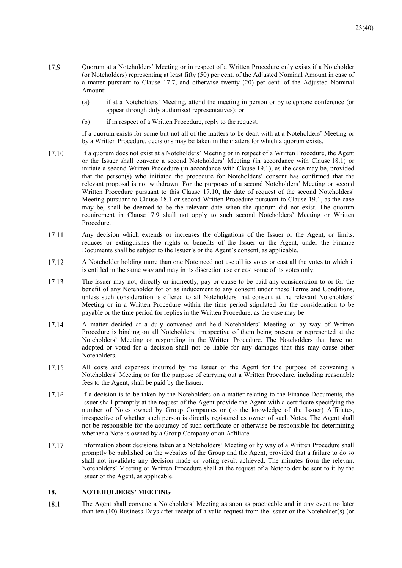- 17.9 Quorum at a Noteholders' Meeting or in respect of a Written Procedure only exists if a Noteholder (or Noteholders) representing at least fifty (50) per cent. of the Adjusted Nominal Amount in case of a matter pursuant to Clause 17.7, and otherwise twenty (20) per cent. of the Adjusted Nominal Amount:
	- (a) if at a Noteholders' Meeting, attend the meeting in person or by telephone conference (or appear through duly authorised representatives); or
	- (b) if in respect of a Written Procedure, reply to the request.

If a quorum exists for some but not all of the matters to be dealt with at a Noteholders' Meeting or by a Written Procedure, decisions may be taken in the matters for which a quorum exists.

- 17.10 If a quorum does not exist at a Noteholders' Meeting or in respect of a Written Procedure, the Agent or the Issuer shall convene a second Noteholders' Meeting (in accordance with Clause 18.1) or initiate a second Written Procedure (in accordance with Clause 19.1), as the case may be, provided that the person(s) who initiated the procedure for Noteholders' consent has confirmed that the relevant proposal is not withdrawn. For the purposes of a second Noteholders' Meeting or second Written Procedure pursuant to this Clause 17.10, the date of request of the second Noteholders' Meeting pursuant to Clause 18.1 or second Written Procedure pursuant to Clause 19.1, as the case may be, shall be deemed to be the relevant date when the quorum did not exist. The quorum requirement in Clause 17.9 shall not apply to such second Noteholders' Meeting or Written Procedure.
- 17.11 Any decision which extends or increases the obligations of the Issuer or the Agent, or limits, reduces or extinguishes the rights or benefits of the Issuer or the Agent, under the Finance Documents shall be subject to the Issuer's or the Agent's consent, as applicable.
- 17.12 A Noteholder holding more than one Note need not use all its votes or cast all the votes to which it is entitled in the same way and may in its discretion use or cast some of its votes only.
- The Issuer may not, directly or indirectly, pay or cause to be paid any consideration to or for the 17.13 benefit of any Noteholder for or as inducement to any consent under these Terms and Conditions, unless such consideration is offered to all Noteholders that consent at the relevant Noteholders' Meeting or in a Written Procedure within the time period stipulated for the consideration to be payable or the time period for replies in the Written Procedure, as the case may be.
- 17.14 A matter decided at a duly convened and held Noteholders' Meeting or by way of Written Procedure is binding on all Noteholders, irrespective of them being present or represented at the Noteholders' Meeting or responding in the Written Procedure. The Noteholders that have not adopted or voted for a decision shall not be liable for any damages that this may cause other Noteholders.
- 17.15 All costs and expenses incurred by the Issuer or the Agent for the purpose of convening a Noteholders' Meeting or for the purpose of carrying out a Written Procedure, including reasonable fees to the Agent, shall be paid by the Issuer.
- If a decision is to be taken by the Noteholders on a matter relating to the Finance Documents, the 17.16 Issuer shall promptly at the request of the Agent provide the Agent with a certificate specifying the number of Notes owned by Group Companies or (to the knowledge of the Issuer) Affiliates, irrespective of whether such person is directly registered as owner of such Notes. The Agent shall not be responsible for the accuracy of such certificate or otherwise be responsible for determining whether a Note is owned by a Group Company or an Affiliate.
- 17.17 Information about decisions taken at a Noteholders' Meeting or by way of a Written Procedure shall promptly be published on the websites of the Group and the Agent, provided that a failure to do so shall not invalidate any decision made or voting result achieved. The minutes from the relevant Noteholders' Meeting or Written Procedure shall at the request of a Noteholder be sent to it by the Issuer or the Agent, as applicable.

### **18. NOTEHOLDERS' MEETING**

18.1 The Agent shall convene a Noteholders' Meeting as soon as practicable and in any event no later than ten (10) Business Days after receipt of a valid request from the Issuer or the Noteholder(s) (or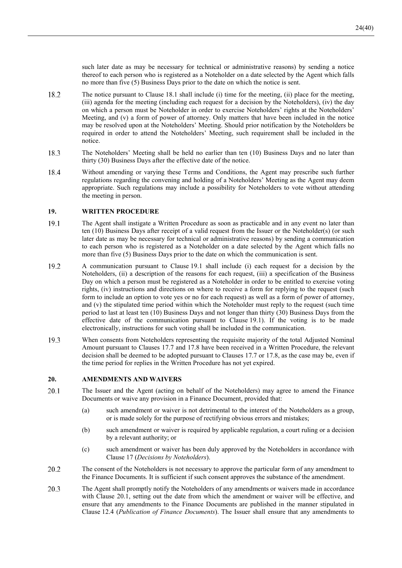such later date as may be necessary for technical or administrative reasons) by sending a notice thereof to each person who is registered as a Noteholder on a date selected by the Agent which falls no more than five (5) Business Days prior to the date on which the notice is sent.

- 18.2 The notice pursuant to Clause 18.1 shall include (i) time for the meeting, (ii) place for the meeting, (iii) agenda for the meeting (including each request for a decision by the Noteholders), (iv) the day on which a person must be Noteholder in order to exercise Noteholders' rights at the Noteholders' Meeting, and (v) a form of power of attorney. Only matters that have been included in the notice may be resolved upon at the Noteholders' Meeting. Should prior notification by the Noteholders be required in order to attend the Noteholders' Meeting, such requirement shall be included in the notice.
- 18.3 The Noteholders' Meeting shall be held no earlier than ten (10) Business Days and no later than thirty (30) Business Days after the effective date of the notice.
- 18.4 Without amending or varying these Terms and Conditions, the Agent may prescribe such further regulations regarding the convening and holding of a Noteholders' Meeting as the Agent may deem appropriate. Such regulations may include a possibility for Noteholders to vote without attending the meeting in person.

### **19. WRITTEN PROCEDURE**

- 19.1 The Agent shall instigate a Written Procedure as soon as practicable and in any event no later than ten (10) Business Days after receipt of a valid request from the Issuer or the Noteholder(s) (or such later date as may be necessary for technical or administrative reasons) by sending a communication to each person who is registered as a Noteholder on a date selected by the Agent which falls no more than five (5) Business Days prior to the date on which the communication is sent.
- 19.2 A communication pursuant to Clause 19.1 shall include (i) each request for a decision by the Noteholders, (ii) a description of the reasons for each request, (iii) a specification of the Business Day on which a person must be registered as a Noteholder in order to be entitled to exercise voting rights, (iv) instructions and directions on where to receive a form for replying to the request (such form to include an option to vote yes or no for each request) as well as a form of power of attorney, and (v) the stipulated time period within which the Noteholder must reply to the request (such time period to last at least ten (10) Business Days and not longer than thirty (30) Business Days from the effective date of the communication pursuant to Clause 19.1). If the voting is to be made electronically, instructions for such voting shall be included in the communication.
- 19.3 When consents from Noteholders representing the requisite majority of the total Adjusted Nominal Amount pursuant to Clauses 17.7 and 17.8 have been received in a Written Procedure, the relevant decision shall be deemed to be adopted pursuant to Clauses 17.7 or 17.8, as the case may be, even if the time period for replies in the Written Procedure has not yet expired.

### **20. AMENDMENTS AND WAIVERS**

- 20.1 The Issuer and the Agent (acting on behalf of the Noteholders) may agree to amend the Finance Documents or waive any provision in a Finance Document, provided that:
	- (a) such amendment or waiver is not detrimental to the interest of the Noteholders as a group, or is made solely for the purpose of rectifying obvious errors and mistakes;
	- (b) such amendment or waiver is required by applicable regulation, a court ruling or a decision by a relevant authority; or
	- (c) such amendment or waiver has been duly approved by the Noteholders in accordance with Clause 17 (*Decisions by Noteholders*).
- 20.2 The consent of the Noteholders is not necessary to approve the particular form of any amendment to the Finance Documents. It is sufficient if such consent approves the substance of the amendment.
- The Agent shall promptly notify the Noteholders of any amendments or waivers made in accordance 20.3 with Clause 20.1, setting out the date from which the amendment or waiver will be effective, and ensure that any amendments to the Finance Documents are published in the manner stipulated in Clause 12.4 (*Publication of Finance Documents*). The Issuer shall ensure that any amendments to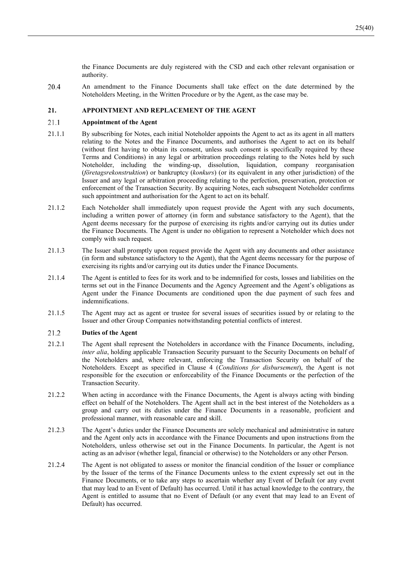the Finance Documents are duly registered with the CSD and each other relevant organisation or authority.

20.4 An amendment to the Finance Documents shall take effect on the date determined by the Noteholders Meeting, in the Written Procedure or by the Agent, as the case may be.

### **21. APPOINTMENT AND REPLACEMENT OF THE AGENT**

#### 21.1 **Appointment of the Agent**

- 21.1.1 By subscribing for Notes, each initial Noteholder appoints the Agent to act as its agent in all matters relating to the Notes and the Finance Documents, and authorises the Agent to act on its behalf (without first having to obtain its consent, unless such consent is specifically required by these Terms and Conditions) in any legal or arbitration proceedings relating to the Notes held by such Noteholder, including the winding-up, dissolution, liquidation, company reorganisation (*företagsrekonstruktion*) or bankruptcy (*konkurs*) (or its equivalent in any other jurisdiction) of the Issuer and any legal or arbitration proceeding relating to the perfection, preservation, protection or enforcement of the Transaction Security. By acquiring Notes, each subsequent Noteholder confirms such appointment and authorisation for the Agent to act on its behalf.
- 21.1.2 Each Noteholder shall immediately upon request provide the Agent with any such documents, including a written power of attorney (in form and substance satisfactory to the Agent), that the Agent deems necessary for the purpose of exercising its rights and/or carrying out its duties under the Finance Documents. The Agent is under no obligation to represent a Noteholder which does not comply with such request.
- 21.1.3 The Issuer shall promptly upon request provide the Agent with any documents and other assistance (in form and substance satisfactory to the Agent), that the Agent deems necessary for the purpose of exercising its rights and/or carrying out its duties under the Finance Documents.
- 21.1.4 The Agent is entitled to fees for its work and to be indemnified for costs, losses and liabilities on the terms set out in the Finance Documents and the Agency Agreement and the Agent's obligations as Agent under the Finance Documents are conditioned upon the due payment of such fees and indemnifications.
- 21.1.5 The Agent may act as agent or trustee for several issues of securities issued by or relating to the Issuer and other Group Companies notwithstanding potential conflicts of interest.

#### 21.2 **Duties of the Agent**

- 21.2.1 The Agent shall represent the Noteholders in accordance with the Finance Documents, including, *inter alia*, holding applicable Transaction Security pursuant to the Security Documents on behalf of the Noteholders and, where relevant, enforcing the Transaction Security on behalf of the Noteholders. Except as specified in Clause 4 (*Conditions for disbursement*), the Agent is not responsible for the execution or enforceability of the Finance Documents or the perfection of the Transaction Security.
- 21.2.2 When acting in accordance with the Finance Documents, the Agent is always acting with binding effect on behalf of the Noteholders. The Agent shall act in the best interest of the Noteholders as a group and carry out its duties under the Finance Documents in a reasonable, proficient and professional manner, with reasonable care and skill.
- 21.2.3 The Agent's duties under the Finance Documents are solely mechanical and administrative in nature and the Agent only acts in accordance with the Finance Documents and upon instructions from the Noteholders, unless otherwise set out in the Finance Documents. In particular, the Agent is not acting as an advisor (whether legal, financial or otherwise) to the Noteholders or any other Person.
- 21.2.4 The Agent is not obligated to assess or monitor the financial condition of the Issuer or compliance by the Issuer of the terms of the Finance Documents unless to the extent expressly set out in the Finance Documents, or to take any steps to ascertain whether any Event of Default (or any event that may lead to an Event of Default) has occurred. Until it has actual knowledge to the contrary, the Agent is entitled to assume that no Event of Default (or any event that may lead to an Event of Default) has occurred.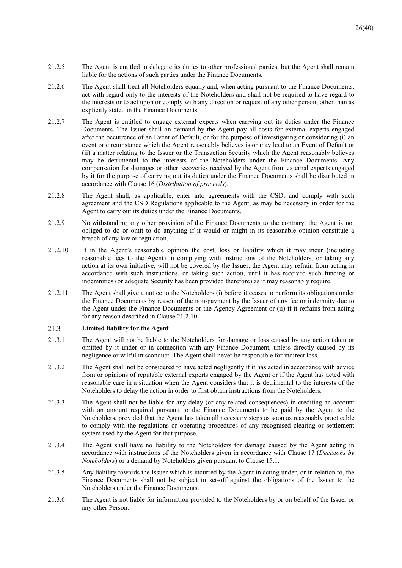- 21.2.5 The Agent is entitled to delegate its duties to other professional parties, but the Agent shall remain liable for the actions of such parties under the Finance Documents.
- 21.2.6 The Agent shall treat all Noteholders equally and, when acting pursuant to the Finance Documents, act with regard only to the interests of the Noteholders and shall not be required to have regard to the interests or to act upon or comply with any direction or request of any other person, other than as explicitly stated in the Finance Documents.
- 21.2.7 The Agent is entitled to engage external experts when carrying out its duties under the Finance Documents. The Issuer shall on demand by the Agent pay all costs for external experts engaged after the occurrence of an Event of Default, or for the purpose of investigating or considering (i) an event or circumstance which the Agent reasonably believes is or may lead to an Event of Default or (ii) a matter relating to the Issuer or the Transaction Security which the Agent reasonably believes may be detrimental to the interests of the Noteholders under the Finance Documents. Any compensation for damages or other recoveries received by the Agent from external experts engaged by it for the purpose of carrying out its duties under the Finance Documents shall be distributed in accordance with Clause 16 (*Distribution of proceeds*).
- 21.2.8 The Agent shall, as applicable, enter into agreements with the CSD, and comply with such agreement and the CSD Regulations applicable to the Agent, as may be necessary in order for the Agent to carry out its duties under the Finance Documents.
- 21.2.9 Notwithstanding any other provision of the Finance Documents to the contrary, the Agent is not obliged to do or omit to do anything if it would or might in its reasonable opinion constitute a breach of any law or regulation.
- 21.2.10 If in the Agent's reasonable opinion the cost, loss or liability which it may incur (including reasonable fees to the Agent) in complying with instructions of the Noteholders, or taking any action at its own initiative, will not be covered by the Issuer, the Agent may refrain from acting in accordance with such instructions, or taking such action, until it has received such funding or indemnities (or adequate Security has been provided therefore) as it may reasonably require.
- 21.2.11 The Agent shall give a notice to the Noteholders (i) before it ceases to perform its obligations under the Finance Documents by reason of the non-payment by the Issuer of any fee or indemnity due to the Agent under the Finance Documents or the Agency Agreement or (ii) if it refrains from acting for any reason described in Clause 21.2.10.

#### 21.3 **Limited liability for the Agent**

- 21.3.1 The Agent will not be liable to the Noteholders for damage or loss caused by any action taken or omitted by it under or in connection with any Finance Document, unless directly caused by its negligence or wilful misconduct. The Agent shall never be responsible for indirect loss.
- 21.3.2 The Agent shall not be considered to have acted negligently if it has acted in accordance with advice from or opinions of reputable external experts engaged by the Agent or if the Agent has acted with reasonable care in a situation when the Agent considers that it is detrimental to the interests of the Noteholders to delay the action in order to first obtain instructions from the Noteholders.
- 21.3.3 The Agent shall not be liable for any delay (or any related consequences) in crediting an account with an amount required pursuant to the Finance Documents to be paid by the Agent to the Noteholders, provided that the Agent has taken all necessary steps as soon as reasonably practicable to comply with the regulations or operating procedures of any recognised clearing or settlement system used by the Agent for that purpose.
- 21.3.4 The Agent shall have no liability to the Noteholders for damage caused by the Agent acting in accordance with instructions of the Noteholders given in accordance with Clause 17 (*Decisions by Noteholders*) or a demand by Noteholders given pursuant to Clause 15.1.
- 21.3.5 Any liability towards the Issuer which is incurred by the Agent in acting under, or in relation to, the Finance Documents shall not be subject to set-off against the obligations of the Issuer to the Noteholders under the Finance Documents.
- 21.3.6 The Agent is not liable for information provided to the Noteholders by or on behalf of the Issuer or any other Person.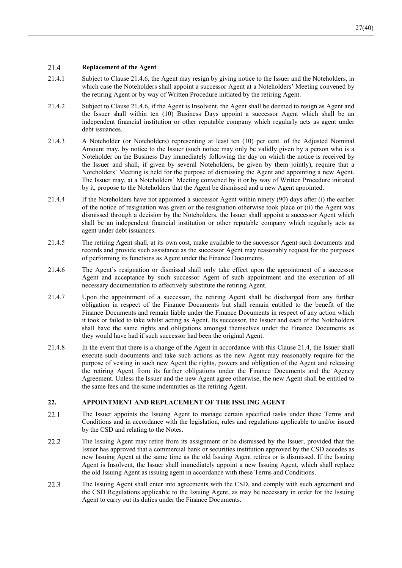#### 21.4 **Replacement of the Agent**

- 21.4.1 Subject to Clause 21.4.6, the Agent may resign by giving notice to the Issuer and the Noteholders, in which case the Noteholders shall appoint a successor Agent at a Noteholders' Meeting convened by the retiring Agent or by way of Written Procedure initiated by the retiring Agent.
- 21.4.2 Subject to Clause 21.4.6, if the Agent is Insolvent, the Agent shall be deemed to resign as Agent and the Issuer shall within ten (10) Business Days appoint a successor Agent which shall be an independent financial institution or other reputable company which regularly acts as agent under debt issuances.
- 21.4.3 A Noteholder (or Noteholders) representing at least ten (10) per cent. of the Adjusted Nominal Amount may, by notice to the Issuer (such notice may only be validly given by a person who is a Noteholder on the Business Day immediately following the day on which the notice is received by the Issuer and shall, if given by several Noteholders, be given by them jointly), require that a Noteholders' Meeting is held for the purpose of dismissing the Agent and appointing a new Agent. The Issuer may, at a Noteholders' Meeting convened by it or by way of Written Procedure initiated by it, propose to the Noteholders that the Agent be dismissed and a new Agent appointed.
- 21.4.4 If the Noteholders have not appointed a successor Agent within ninety (90) days after (i) the earlier of the notice of resignation was given or the resignation otherwise took place or (ii) the Agent was dismissed through a decision by the Noteholders, the Issuer shall appoint a successor Agent which shall be an independent financial institution or other reputable company which regularly acts as agent under debt issuances.
- 21.4.5 The retiring Agent shall, at its own cost, make available to the successor Agent such documents and records and provide such assistance as the successor Agent may reasonably request for the purposes of performing its functions as Agent under the Finance Documents.
- 21.4.6 The Agent's resignation or dismissal shall only take effect upon the appointment of a successor Agent and acceptance by such successor Agent of such appointment and the execution of all necessary documentation to effectively substitute the retiring Agent.
- 21.4.7 Upon the appointment of a successor, the retiring Agent shall be discharged from any further obligation in respect of the Finance Documents but shall remain entitled to the benefit of the Finance Documents and remain liable under the Finance Documents in respect of any action which it took or failed to take whilst acting as Agent. Its successor, the Issuer and each of the Noteholders shall have the same rights and obligations amongst themselves under the Finance Documents as they would have had if such successor had been the original Agent.
- 21.4.8 In the event that there is a change of the Agent in accordance with this Clause 21.4, the Issuer shall execute such documents and take such actions as the new Agent may reasonably require for the purpose of vesting in such new Agent the rights, powers and obligation of the Agent and releasing the retiring Agent from its further obligations under the Finance Documents and the Agency Agreement. Unless the Issuer and the new Agent agree otherwise, the new Agent shall be entitled to the same fees and the same indemnities as the retiring Agent.

### **22. APPOINTMENT AND REPLACEMENT OF THE ISSUING AGENT**

- $22.1$ The Issuer appoints the Issuing Agent to manage certain specified tasks under these Terms and Conditions and in accordance with the legislation, rules and regulations applicable to and/or issued by the CSD and relating to the Notes.
- $22.2$ The Issuing Agent may retire from its assignment or be dismissed by the Issuer, provided that the Issuer has approved that a commercial bank or securities institution approved by the CSD accedes as new Issuing Agent at the same time as the old Issuing Agent retires or is dismissed. If the Issuing Agent is Insolvent, the Issuer shall immediately appoint a new Issuing Agent, which shall replace the old Issuing Agent as issuing agent in accordance with these Terms and Conditions.
- $22.3$ The Issuing Agent shall enter into agreements with the CSD, and comply with such agreement and the CSD Regulations applicable to the Issuing Agent, as may be necessary in order for the Issuing Agent to carry out its duties under the Finance Documents.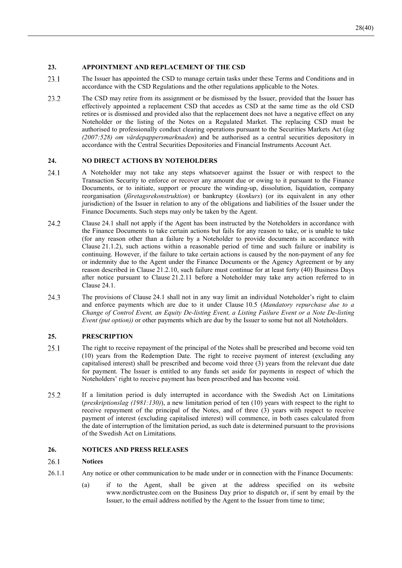### **23. APPOINTMENT AND REPLACEMENT OF THE CSD**

- $23.1$ The Issuer has appointed the CSD to manage certain tasks under these Terms and Conditions and in accordance with the CSD Regulations and the other regulations applicable to the Notes.
- 23.2 The CSD may retire from its assignment or be dismissed by the Issuer, provided that the Issuer has effectively appointed a replacement CSD that accedes as CSD at the same time as the old CSD retires or is dismissed and provided also that the replacement does not have a negative effect on any Noteholder or the listing of the Notes on a Regulated Market. The replacing CSD must be authorised to professionally conduct clearing operations pursuant to the Securities Markets Act (*lag (2007:528) om värdepappersmarknaden*) and be authorised as a central securities depository in accordance with the Central Securities Depositories and Financial Instruments Account Act.

### **24. NO DIRECT ACTIONS BY NOTEHOLDERS**

- 24.1 A Noteholder may not take any steps whatsoever against the Issuer or with respect to the Transaction Security to enforce or recover any amount due or owing to it pursuant to the Finance Documents, or to initiate, support or procure the winding-up, dissolution, liquidation, company reorganisation (*företagsrekonstruktion*) or bankruptcy (*konkurs*) (or its equivalent in any other jurisdiction) of the Issuer in relation to any of the obligations and liabilities of the Issuer under the Finance Documents. Such steps may only be taken by the Agent.
- 24.2 Clause 24.1 shall not apply if the Agent has been instructed by the Noteholders in accordance with the Finance Documents to take certain actions but fails for any reason to take, or is unable to take (for any reason other than a failure by a Noteholder to provide documents in accordance with Clause 21.1.2), such actions within a reasonable period of time and such failure or inability is continuing. However, if the failure to take certain actions is caused by the non-payment of any fee or indemnity due to the Agent under the Finance Documents or the Agency Agreement or by any reason described in Clause 21.2.10, such failure must continue for at least forty (40) Business Days after notice pursuant to Clause 21.2.11 before a Noteholder may take any action referred to in Clause 24.1.
- 24.3 The provisions of Clause 24.1 shall not in any way limit an individual Noteholder's right to claim and enforce payments which are due to it under Clause 10.5 (*Mandatory repurchase due to a Change of Control Event, an Equity De-listing Event, a Listing Failure Event or a Note De-listing Event (put option))* or other payments which are due by the Issuer to some but not all Noteholders.

### **25. PRESCRIPTION**

- 25.1 The right to receive repayment of the principal of the Notes shall be prescribed and become void ten (10) years from the Redemption Date. The right to receive payment of interest (excluding any capitalised interest) shall be prescribed and become void three (3) years from the relevant due date for payment. The Issuer is entitled to any funds set aside for payments in respect of which the Noteholders' right to receive payment has been prescribed and has become void.
- 25.2 If a limitation period is duly interrupted in accordance with the Swedish Act on Limitations (*preskriptionslag (1981:130)*), a new limitation period of ten (10) years with respect to the right to receive repayment of the principal of the Notes, and of three (3) years with respect to receive payment of interest (excluding capitalised interest) will commence, in both cases calculated from the date of interruption of the limitation period, as such date is determined pursuant to the provisions of the Swedish Act on Limitations.

### **26. NOTICES AND PRESS RELEASES**

#### 26.1 **Notices**

- 26.1.1 Any notice or other communication to be made under or in connection with the Finance Documents:
	- (a) if to the Agent, shall be given at the address specified on its website www.nordictrustee.com on the Business Day prior to dispatch or, if sent by email by the Issuer, to the email address notified by the Agent to the Issuer from time to time;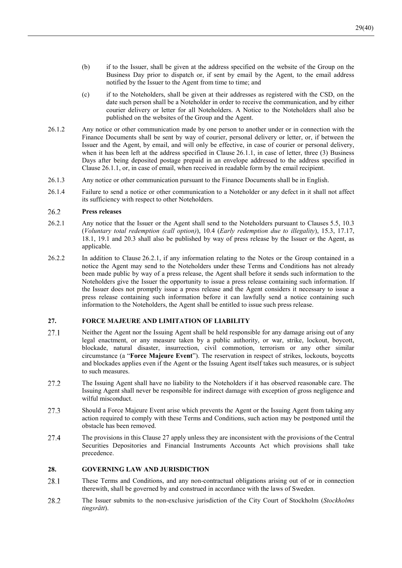- (b) if to the Issuer, shall be given at the address specified on the website of the Group on the Business Day prior to dispatch or, if sent by email by the Agent, to the email address notified by the Issuer to the Agent from time to time; and
- (c) if to the Noteholders, shall be given at their addresses as registered with the CSD, on the date such person shall be a Noteholder in order to receive the communication, and by either courier delivery or letter for all Noteholders. A Notice to the Noteholders shall also be published on the websites of the Group and the Agent.
- 26.1.2 Any notice or other communication made by one person to another under or in connection with the Finance Documents shall be sent by way of courier, personal delivery or letter, or, if between the Issuer and the Agent, by email, and will only be effective, in case of courier or personal delivery, when it has been left at the address specified in Clause 26.1.1, in case of letter, three (3) Business Days after being deposited postage prepaid in an envelope addressed to the address specified in Clause 26.1.1, or, in case of email, when received in readable form by the email recipient.
- 26.1.3 Any notice or other communication pursuant to the Finance Documents shall be in English.
- 26.1.4 Failure to send a notice or other communication to a Noteholder or any defect in it shall not affect its sufficiency with respect to other Noteholders.

#### 26.2 **Press releases**

- 26.2.1 Any notice that the Issuer or the Agent shall send to the Noteholders pursuant to Clauses 5.5, 10.3 (*Voluntary total redemption (call option)*), 10.4 (*Early redemption due to illegality*), 15.3, 17.17, 18.1, 19.1 and 20.3 shall also be published by way of press release by the Issuer or the Agent, as applicable.
- 26.2.2 In addition to Clause 26.2.1, if any information relating to the Notes or the Group contained in a notice the Agent may send to the Noteholders under these Terms and Conditions has not already been made public by way of a press release, the Agent shall before it sends such information to the Noteholders give the Issuer the opportunity to issue a press release containing such information. If the Issuer does not promptly issue a press release and the Agent considers it necessary to issue a press release containing such information before it can lawfully send a notice containing such information to the Noteholders, the Agent shall be entitled to issue such press release.

### **27. FORCE MAJEURE AND LIMITATION OF LIABILITY**

- 27.1 Neither the Agent nor the Issuing Agent shall be held responsible for any damage arising out of any legal enactment, or any measure taken by a public authority, or war, strike, lockout, boycott, blockade, natural disaster, insurrection, civil commotion, terrorism or any other similar circumstance (a "**Force Majeure Event**"). The reservation in respect of strikes, lockouts, boycotts and blockades applies even if the Agent or the Issuing Agent itself takes such measures, or is subject to such measures.
- 27.2 The Issuing Agent shall have no liability to the Noteholders if it has observed reasonable care. The Issuing Agent shall never be responsible for indirect damage with exception of gross negligence and wilful misconduct.
- 27.3 Should a Force Majeure Event arise which prevents the Agent or the Issuing Agent from taking any action required to comply with these Terms and Conditions, such action may be postponed until the obstacle has been removed.
- 27.4 The provisions in this Clause 27 apply unless they are inconsistent with the provisions of the Central Securities Depositories and Financial Instruments Accounts Act which provisions shall take precedence.

### **28. GOVERNING LAW AND JURISDICTION**

- 28.1 These Terms and Conditions, and any non-contractual obligations arising out of or in connection therewith, shall be governed by and construed in accordance with the laws of Sweden.
- 28.2 The Issuer submits to the non-exclusive jurisdiction of the City Court of Stockholm (*Stockholms tingsrätt*).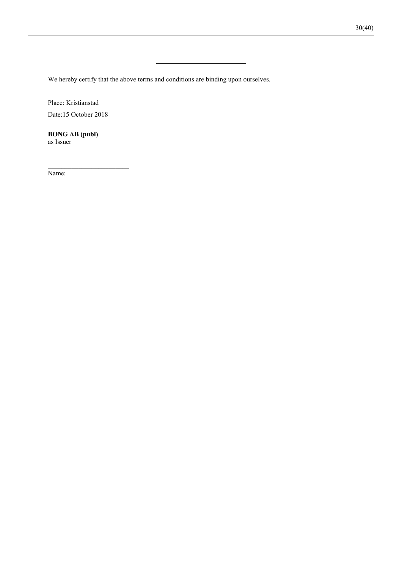We hereby certify that the above terms and conditions are binding upon ourselves.

Place: Kristianstad

Date:15 October 2018

**BONG AB (publ)** as Issuer

Name: